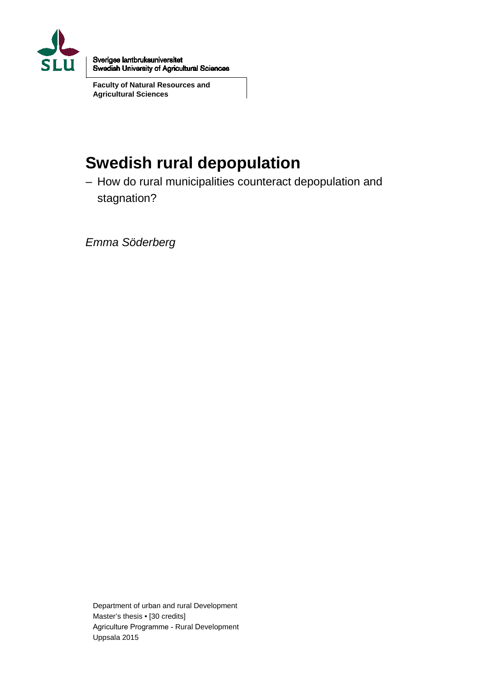

Sveriges lantbruksuniversitet **Swedish University of Agricultural Sciences** 

**Faculty of Natural Resources and Agricultural Sciences**

# **Swedish rural depopulation**

– How do rural municipalities counteract depopulation and stagnation?

*Emma Söderberg*

Department of urban and rural Development Master's thesis • [30 credits] Agriculture Programme - Rural Development Uppsala 2015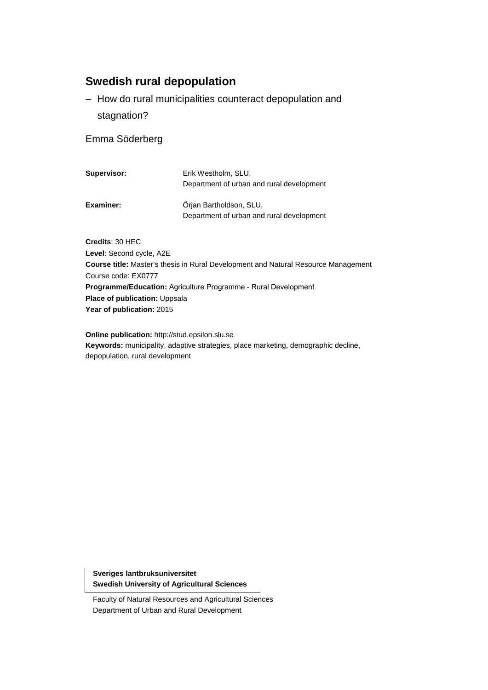## **Swedish rural depopulation**

– How do rural municipalities counteract depopulation and stagnation?

#### Emma Söderberg

| Supervisor: | Erik Westholm, SLU,<br>Department of urban and rural development     |
|-------------|----------------------------------------------------------------------|
| Examiner:   | Orian Bartholdson, SLU,<br>Department of urban and rural development |

**Credits**: 30 HEC **Level**: Second cycle, A2E **Course title:** Master's thesis in Rural Development and Natural Resource Management Course code: EX0777 **Programme/Education:** Agriculture Programme - Rural Development **Place of publication:** Uppsala **Year of publication:** 2015

**Online publication:** http://stud.epsilon.slu.se **Keywords:** municipality, adaptive strategies, place marketing, demographic decline, depopulation, rural development

**Sveriges lantbruksuniversitet Swedish University of Agricultural Sciences**

Faculty of Natural Resources and Agricultural Sciences Department of Urban and Rural Development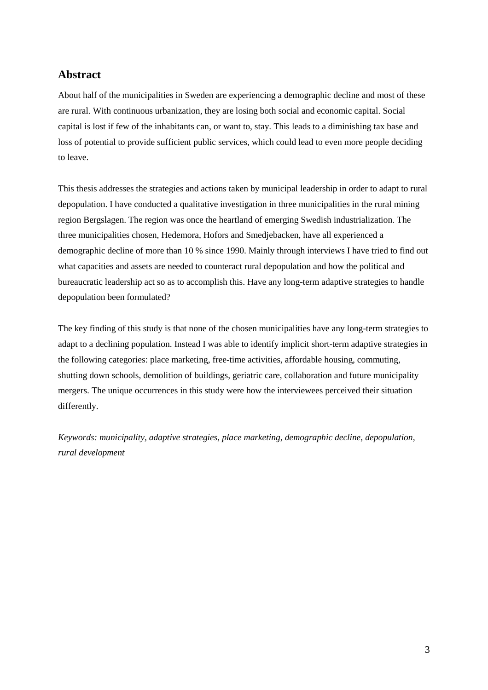## **Abstract**

About half of the municipalities in Sweden are experiencing a demographic decline and most of these are rural. With continuous urbanization, they are losing both social and economic capital. Social capital is lost if few of the inhabitants can, or want to, stay. This leads to a diminishing tax base and loss of potential to provide sufficient public services, which could lead to even more people deciding to leave.

This thesis addresses the strategies and actions taken by municipal leadership in order to adapt to rural depopulation. I have conducted a qualitative investigation in three municipalities in the rural mining region Bergslagen. The region was once the heartland of emerging Swedish industrialization. The three municipalities chosen, Hedemora, Hofors and Smedjebacken, have all experienced a demographic decline of more than 10 % since 1990. Mainly through interviews I have tried to find out what capacities and assets are needed to counteract rural depopulation and how the political and bureaucratic leadership act so as to accomplish this. Have any long-term adaptive strategies to handle depopulation been formulated?

The key finding of this study is that none of the chosen municipalities have any long-term strategies to adapt to a declining population. Instead I was able to identify implicit short-term adaptive strategies in the following categories: place marketing, free-time activities, affordable housing, commuting, shutting down schools, demolition of buildings, geriatric care, collaboration and future municipality mergers. The unique occurrences in this study were how the interviewees perceived their situation differently.

*Keywords: municipality, adaptive strategies, place marketing, demographic decline, depopulation, rural development*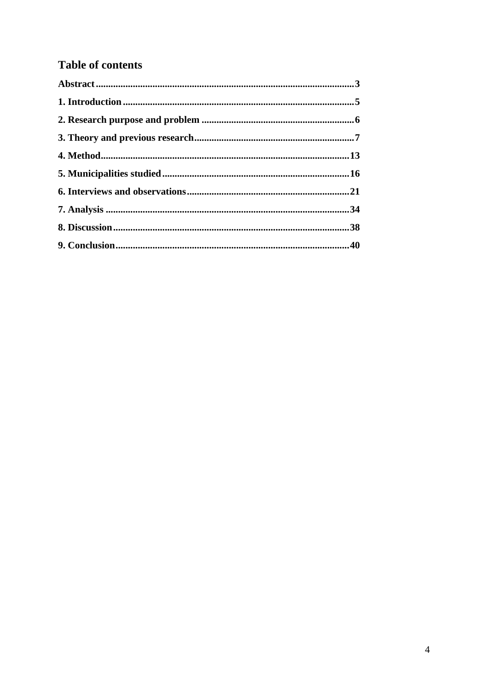## **Table of contents**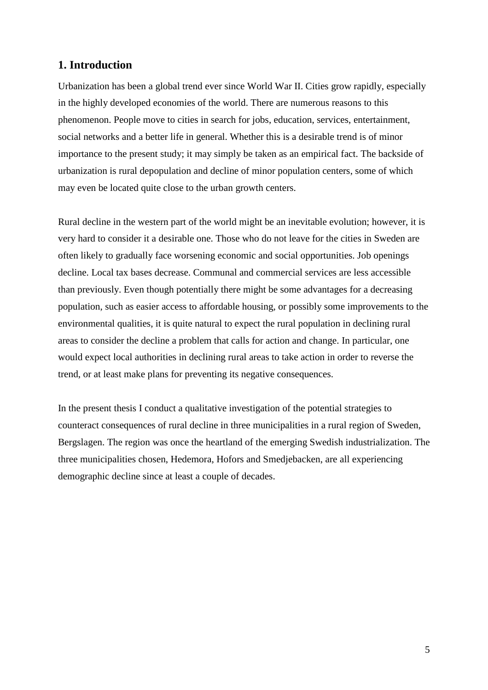## **1. Introduction**

Urbanization has been a global trend ever since World War II. Cities grow rapidly, especially in the highly developed economies of the world. There are numerous reasons to this phenomenon. People move to cities in search for jobs, education, services, entertainment, social networks and a better life in general. Whether this is a desirable trend is of minor importance to the present study; it may simply be taken as an empirical fact. The backside of urbanization is rural depopulation and decline of minor population centers, some of which may even be located quite close to the urban growth centers.

Rural decline in the western part of the world might be an inevitable evolution; however, it is very hard to consider it a desirable one. Those who do not leave for the cities in Sweden are often likely to gradually face worsening economic and social opportunities. Job openings decline. Local tax bases decrease. Communal and commercial services are less accessible than previously. Even though potentially there might be some advantages for a decreasing population, such as easier access to affordable housing, or possibly some improvements to the environmental qualities, it is quite natural to expect the rural population in declining rural areas to consider the decline a problem that calls for action and change. In particular, one would expect local authorities in declining rural areas to take action in order to reverse the trend, or at least make plans for preventing its negative consequences.

In the present thesis I conduct a qualitative investigation of the potential strategies to counteract consequences of rural decline in three municipalities in a rural region of Sweden, Bergslagen. The region was once the heartland of the emerging Swedish industrialization. The three municipalities chosen, Hedemora, Hofors and Smedjebacken, are all experiencing demographic decline since at least a couple of decades.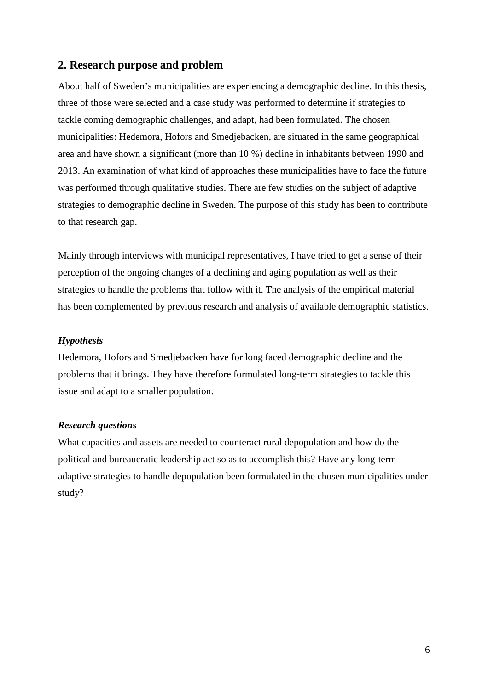## **2. Research purpose and problem**

About half of Sweden's municipalities are experiencing a demographic decline. In this thesis, three of those were selected and a case study was performed to determine if strategies to tackle coming demographic challenges, and adapt, had been formulated. The chosen municipalities: Hedemora, Hofors and Smedjebacken, are situated in the same geographical area and have shown a significant (more than 10 %) decline in inhabitants between 1990 and 2013. An examination of what kind of approaches these municipalities have to face the future was performed through qualitative studies. There are few studies on the subject of adaptive strategies to demographic decline in Sweden. The purpose of this study has been to contribute to that research gap.

Mainly through interviews with municipal representatives, I have tried to get a sense of their perception of the ongoing changes of a declining and aging population as well as their strategies to handle the problems that follow with it. The analysis of the empirical material has been complemented by previous research and analysis of available demographic statistics.

#### *Hypothesis*

Hedemora, Hofors and Smedjebacken have for long faced demographic decline and the problems that it brings. They have therefore formulated long-term strategies to tackle this issue and adapt to a smaller population.

#### *Research questions*

What capacities and assets are needed to counteract rural depopulation and how do the political and bureaucratic leadership act so as to accomplish this? Have any long-term adaptive strategies to handle depopulation been formulated in the chosen municipalities under study?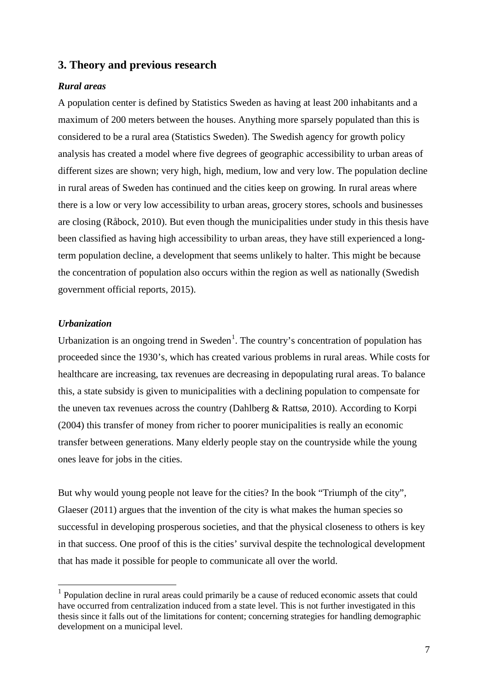#### **3. Theory and previous research**

#### *Rural areas*

A population center is defined by Statistics Sweden as having at least 200 inhabitants and a maximum of 200 meters between the houses. Anything more sparsely populated than this is considered to be a rural area (Statistics Sweden). The Swedish agency for growth policy analysis has created a model where five degrees of geographic accessibility to urban areas of different sizes are shown; very high, high, medium, low and very low. The population decline in rural areas of Sweden has continued and the cities keep on growing. In rural areas where there is a low or very low accessibility to urban areas, grocery stores, schools and businesses are closing (Råbock, 2010). But even though the municipalities under study in this thesis have been classified as having high accessibility to urban areas, they have still experienced a longterm population decline, a development that seems unlikely to halter. This might be because the concentration of population also occurs within the region as well as nationally (Swedish government official reports, 2015).

#### *Urbanization*

Urbanization is an ongoing trend in Sweden<sup>[1](#page-6-0)</sup>. The country's concentration of population has proceeded since the 1930's, which has created various problems in rural areas. While costs for healthcare are increasing, tax revenues are decreasing in depopulating rural areas. To balance this, a state subsidy is given to municipalities with a declining population to compensate for the uneven tax revenues across the country (Dahlberg & Rattsø, 2010). According to Korpi (2004) this transfer of money from richer to poorer municipalities is really an economic transfer between generations. Many elderly people stay on the countryside while the young ones leave for jobs in the cities.

But why would young people not leave for the cities? In the book "Triumph of the city", Glaeser (2011) argues that the invention of the city is what makes the human species so successful in developing prosperous societies, and that the physical closeness to others is key in that success. One proof of this is the cities' survival despite the technological development that has made it possible for people to communicate all over the world.

<span id="page-6-0"></span> $<sup>1</sup>$  Population decline in rural areas could primarily be a cause of reduced economic assets that could</sup> have occurred from centralization induced from a state level. This is not further investigated in this thesis since it falls out of the limitations for content; concerning strategies for handling demographic development on a municipal level.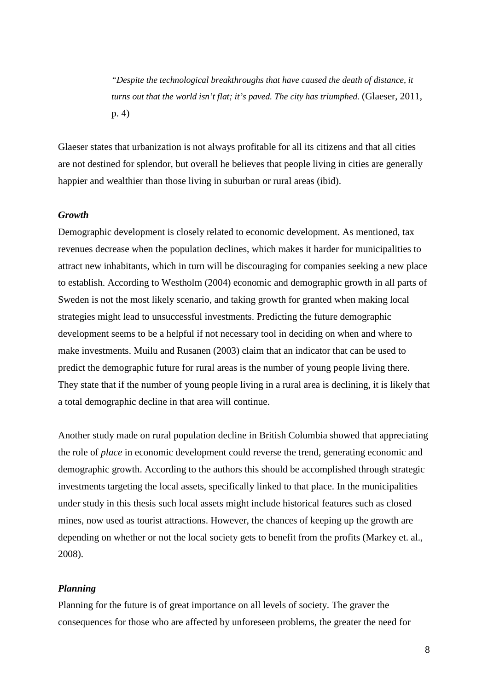*"Despite the technological breakthroughs that have caused the death of distance, it turns out that the world isn't flat; it's paved. The city has triumphed.* (Glaeser, 2011, p. 4)

Glaeser states that urbanization is not always profitable for all its citizens and that all cities are not destined for splendor, but overall he believes that people living in cities are generally happier and wealthier than those living in suburban or rural areas (ibid).

#### *Growth*

Demographic development is closely related to economic development. As mentioned, tax revenues decrease when the population declines, which makes it harder for municipalities to attract new inhabitants, which in turn will be discouraging for companies seeking a new place to establish. According to Westholm (2004) economic and demographic growth in all parts of Sweden is not the most likely scenario, and taking growth for granted when making local strategies might lead to unsuccessful investments. Predicting the future demographic development seems to be a helpful if not necessary tool in deciding on when and where to make investments. Muilu and Rusanen (2003) claim that an indicator that can be used to predict the demographic future for rural areas is the number of young people living there. They state that if the number of young people living in a rural area is declining, it is likely that a total demographic decline in that area will continue.

Another study made on rural population decline in British Columbia showed that appreciating the role of *place* in economic development could reverse the trend, generating economic and demographic growth. According to the authors this should be accomplished through strategic investments targeting the local assets, specifically linked to that place. In the municipalities under study in this thesis such local assets might include historical features such as closed mines, now used as tourist attractions. However, the chances of keeping up the growth are depending on whether or not the local society gets to benefit from the profits (Markey et. al., 2008).

#### *Planning*

Planning for the future is of great importance on all levels of society. The graver the consequences for those who are affected by unforeseen problems, the greater the need for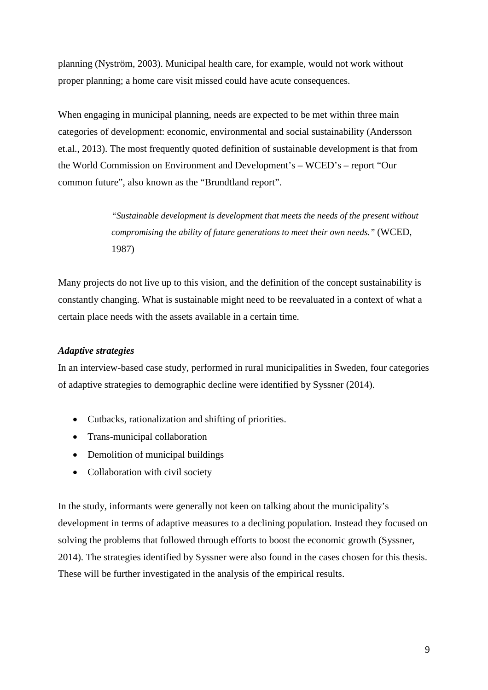planning (Nyström, 2003). Municipal health care, for example, would not work without proper planning; a home care visit missed could have acute consequences.

When engaging in municipal planning, needs are expected to be met within three main categories of development: economic, environmental and social sustainability (Andersson et.al., 2013). The most frequently quoted definition of sustainable development is that from the World Commission on Environment and Development's – WCED's – report "Our common future", also known as the "Brundtland report".

> *"Sustainable development is development that meets the needs of the present without compromising the ability of future generations to meet their own needs."* (WCED, 1987)

Many projects do not live up to this vision, and the definition of the concept sustainability is constantly changing. What is sustainable might need to be reevaluated in a context of what a certain place needs with the assets available in a certain time.

#### *Adaptive strategies*

In an interview-based case study, performed in rural municipalities in Sweden, four categories of adaptive strategies to demographic decline were identified by Syssner (2014).

- Cutbacks, rationalization and shifting of priorities.
- Trans-municipal collaboration
- Demolition of municipal buildings
- Collaboration with civil society

In the study, informants were generally not keen on talking about the municipality's development in terms of adaptive measures to a declining population. Instead they focused on solving the problems that followed through efforts to boost the economic growth (Syssner, 2014). The strategies identified by Syssner were also found in the cases chosen for this thesis. These will be further investigated in the analysis of the empirical results.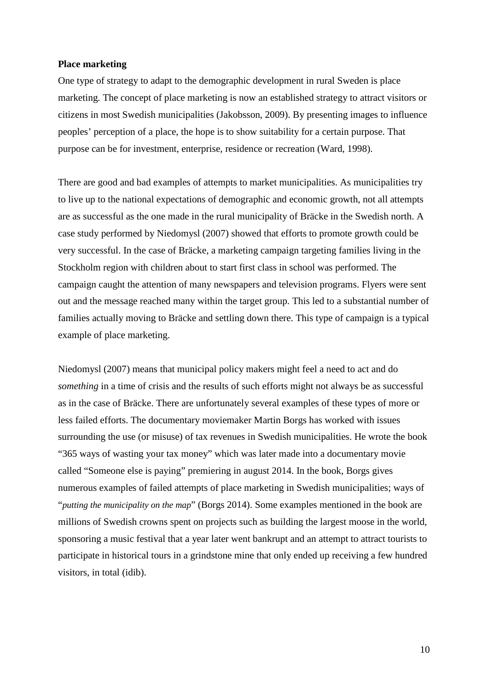#### **Place marketing**

One type of strategy to adapt to the demographic development in rural Sweden is place marketing. The concept of place marketing is now an established strategy to attract visitors or citizens in most Swedish municipalities (Jakobsson, 2009). By presenting images to influence peoples' perception of a place, the hope is to show suitability for a certain purpose. That purpose can be for investment, enterprise, residence or recreation (Ward, 1998).

There are good and bad examples of attempts to market municipalities. As municipalities try to live up to the national expectations of demographic and economic growth, not all attempts are as successful as the one made in the rural municipality of Bräcke in the Swedish north. A case study performed by Niedomysl (2007) showed that efforts to promote growth could be very successful. In the case of Bräcke, a marketing campaign targeting families living in the Stockholm region with children about to start first class in school was performed. The campaign caught the attention of many newspapers and television programs. Flyers were sent out and the message reached many within the target group. This led to a substantial number of families actually moving to Bräcke and settling down there. This type of campaign is a typical example of place marketing.

Niedomysl (2007) means that municipal policy makers might feel a need to act and do *something* in a time of crisis and the results of such efforts might not always be as successful as in the case of Bräcke. There are unfortunately several examples of these types of more or less failed efforts. The documentary moviemaker Martin Borgs has worked with issues surrounding the use (or misuse) of tax revenues in Swedish municipalities. He wrote the book "365 ways of wasting your tax money" which was later made into a documentary movie called "Someone else is paying" premiering in august 2014. In the book, Borgs gives numerous examples of failed attempts of place marketing in Swedish municipalities; ways of "*putting the municipality on the map*" (Borgs 2014). Some examples mentioned in the book are millions of Swedish crowns spent on projects such as building the largest moose in the world, sponsoring a music festival that a year later went bankrupt and an attempt to attract tourists to participate in historical tours in a grindstone mine that only ended up receiving a few hundred visitors, in total (idib).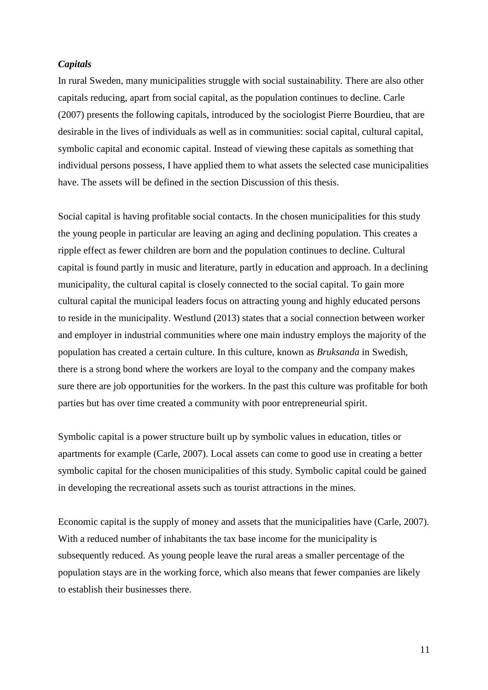#### *Capitals*

In rural Sweden, many municipalities struggle with social sustainability. There are also other capitals reducing, apart from social capital, as the population continues to decline. Carle (2007) presents the following capitals, introduced by the sociologist Pierre Bourdieu, that are desirable in the lives of individuals as well as in communities: social capital, cultural capital, symbolic capital and economic capital. Instead of viewing these capitals as something that individual persons possess, I have applied them to what assets the selected case municipalities have. The assets will be defined in the section Discussion of this thesis.

Social capital is having profitable social contacts. In the chosen municipalities for this study the young people in particular are leaving an aging and declining population. This creates a ripple effect as fewer children are born and the population continues to decline. Cultural capital is found partly in music and literature, partly in education and approach. In a declining municipality, the cultural capital is closely connected to the social capital. To gain more cultural capital the municipal leaders focus on attracting young and highly educated persons to reside in the municipality. Westlund (2013) states that a social connection between worker and employer in industrial communities where one main industry employs the majority of the population has created a certain culture. In this culture, known as *Bruksanda* in Swedish, there is a strong bond where the workers are loyal to the company and the company makes sure there are job opportunities for the workers. In the past this culture was profitable for both parties but has over time created a community with poor entrepreneurial spirit.

Symbolic capital is a power structure built up by symbolic values in education, titles or apartments for example (Carle, 2007). Local assets can come to good use in creating a better symbolic capital for the chosen municipalities of this study. Symbolic capital could be gained in developing the recreational assets such as tourist attractions in the mines.

Economic capital is the supply of money and assets that the municipalities have (Carle, 2007). With a reduced number of inhabitants the tax base income for the municipality is subsequently reduced. As young people leave the rural areas a smaller percentage of the population stays are in the working force, which also means that fewer companies are likely to establish their businesses there.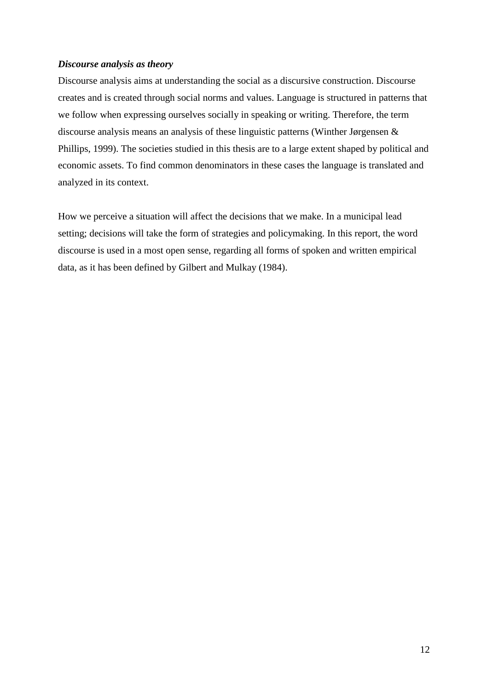#### *Discourse analysis as theory*

Discourse analysis aims at understanding the social as a discursive construction. Discourse creates and is created through social norms and values. Language is structured in patterns that we follow when expressing ourselves socially in speaking or writing. Therefore, the term discourse analysis means an analysis of these linguistic patterns (Winther Jørgensen & Phillips, 1999). The societies studied in this thesis are to a large extent shaped by political and economic assets. To find common denominators in these cases the language is translated and analyzed in its context.

How we perceive a situation will affect the decisions that we make. In a municipal lead setting; decisions will take the form of strategies and policymaking. In this report, the word discourse is used in a most open sense, regarding all forms of spoken and written empirical data, as it has been defined by Gilbert and Mulkay (1984).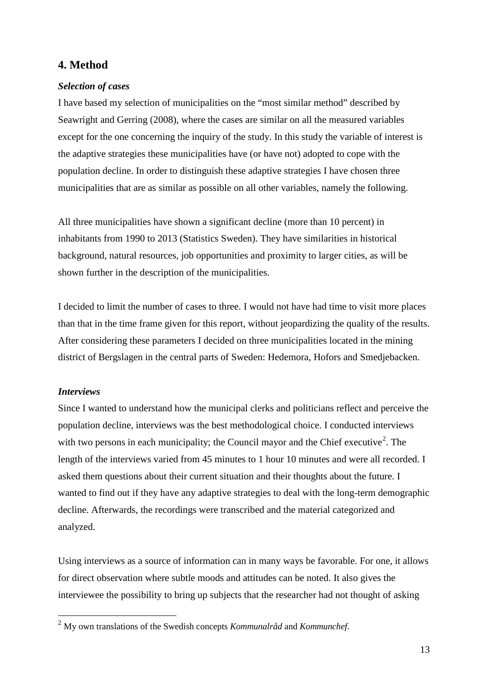## **4. Method**

#### *Selection of cases*

I have based my selection of municipalities on the "most similar method" described by Seawright and Gerring (2008), where the cases are similar on all the measured variables except for the one concerning the inquiry of the study. In this study the variable of interest is the adaptive strategies these municipalities have (or have not) adopted to cope with the population decline. In order to distinguish these adaptive strategies I have chosen three municipalities that are as similar as possible on all other variables, namely the following.

All three municipalities have shown a significant decline (more than 10 percent) in inhabitants from 1990 to 2013 (Statistics Sweden). They have similarities in historical background, natural resources, job opportunities and proximity to larger cities, as will be shown further in the description of the municipalities.

I decided to limit the number of cases to three. I would not have had time to visit more places than that in the time frame given for this report, without jeopardizing the quality of the results. After considering these parameters I decided on three municipalities located in the mining district of Bergslagen in the central parts of Sweden: Hedemora, Hofors and Smedjebacken.

#### *Interviews*

Since I wanted to understand how the municipal clerks and politicians reflect and perceive the population decline, interviews was the best methodological choice. I conducted interviews with two persons in each municipality; the Council mayor and the Chief executive<sup>[2](#page-12-0)</sup>. The length of the interviews varied from 45 minutes to 1 hour 10 minutes and were all recorded. I asked them questions about their current situation and their thoughts about the future. I wanted to find out if they have any adaptive strategies to deal with the long-term demographic decline. Afterwards, the recordings were transcribed and the material categorized and analyzed.

Using interviews as a source of information can in many ways be favorable. For one, it allows for direct observation where subtle moods and attitudes can be noted. It also gives the interviewee the possibility to bring up subjects that the researcher had not thought of asking

<span id="page-12-0"></span> <sup>2</sup> My own translations of the Swedish concepts *Kommunalråd* and *Kommunchef*.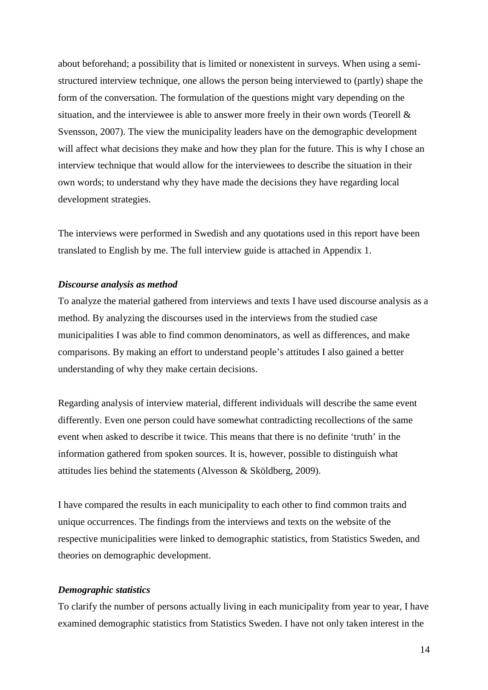about beforehand; a possibility that is limited or nonexistent in surveys. When using a semistructured interview technique, one allows the person being interviewed to (partly) shape the form of the conversation. The formulation of the questions might vary depending on the situation, and the interviewee is able to answer more freely in their own words (Teorell  $\&$ Svensson, 2007). The view the municipality leaders have on the demographic development will affect what decisions they make and how they plan for the future. This is why I chose an interview technique that would allow for the interviewees to describe the situation in their own words; to understand why they have made the decisions they have regarding local development strategies.

The interviews were performed in Swedish and any quotations used in this report have been translated to English by me. The full interview guide is attached in Appendix 1.

#### *Discourse analysis as method*

To analyze the material gathered from interviews and texts I have used discourse analysis as a method. By analyzing the discourses used in the interviews from the studied case municipalities I was able to find common denominators, as well as differences, and make comparisons. By making an effort to understand people's attitudes I also gained a better understanding of why they make certain decisions.

Regarding analysis of interview material, different individuals will describe the same event differently. Even one person could have somewhat contradicting recollections of the same event when asked to describe it twice. This means that there is no definite 'truth' in the information gathered from spoken sources. It is, however, possible to distinguish what attitudes lies behind the statements (Alvesson & Sköldberg, 2009).

I have compared the results in each municipality to each other to find common traits and unique occurrences. The findings from the interviews and texts on the website of the respective municipalities were linked to demographic statistics, from Statistics Sweden, and theories on demographic development.

#### *Demographic statistics*

To clarify the number of persons actually living in each municipality from year to year, I have examined demographic statistics from Statistics Sweden. I have not only taken interest in the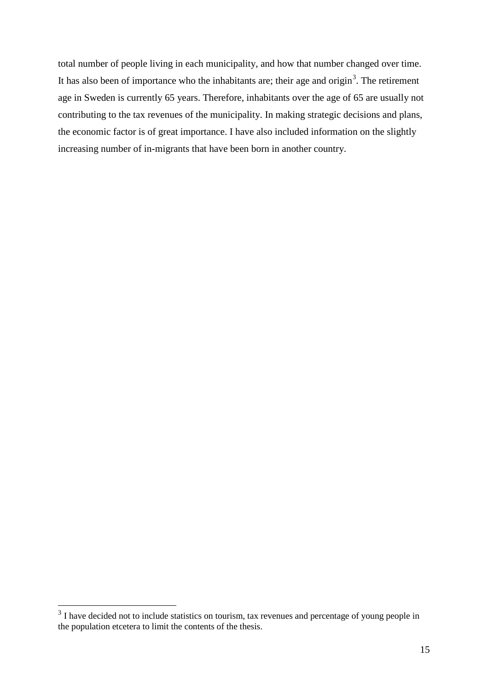total number of people living in each municipality, and how that number changed over time. It has also been of importance who the inhabitants are; their age and origin<sup>[3](#page-14-0)</sup>. The retirement age in Sweden is currently 65 years. Therefore, inhabitants over the age of 65 are usually not contributing to the tax revenues of the municipality. In making strategic decisions and plans, the economic factor is of great importance. I have also included information on the slightly increasing number of in-migrants that have been born in another country.

<span id="page-14-0"></span><sup>&</sup>lt;sup>3</sup> I have decided not to include statistics on tourism, tax revenues and percentage of young people in the population etcetera to limit the contents of the thesis.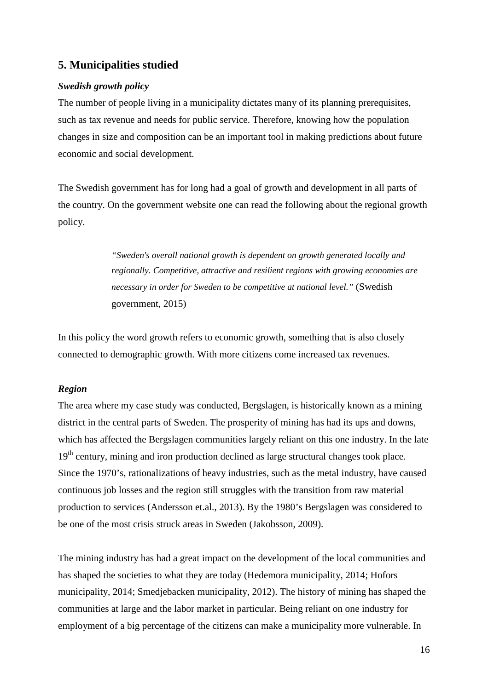## **5. Municipalities studied**

#### *Swedish growth policy*

The number of people living in a municipality dictates many of its planning prerequisites, such as tax revenue and needs for public service. Therefore, knowing how the population changes in size and composition can be an important tool in making predictions about future economic and social development.

The Swedish government has for long had a goal of growth and development in all parts of the country. On the government website one can read the following about the regional growth policy.

> *"Sweden's overall national growth is dependent on growth generated locally and regionally. Competitive, attractive and resilient regions with growing economies are necessary in order for Sweden to be competitive at national level."* (Swedish government, 2015)

In this policy the word growth refers to economic growth, something that is also closely connected to demographic growth. With more citizens come increased tax revenues.

#### *Region*

The area where my case study was conducted, Bergslagen, is historically known as a mining district in the central parts of Sweden. The prosperity of mining has had its ups and downs, which has affected the Bergslagen communities largely reliant on this one industry. In the late 19<sup>th</sup> century, mining and iron production declined as large structural changes took place. Since the 1970's, rationalizations of heavy industries, such as the metal industry, have caused continuous job losses and the region still struggles with the transition from raw material production to services (Andersson et.al., 2013). By the 1980's Bergslagen was considered to be one of the most crisis struck areas in Sweden (Jakobsson, 2009).

The mining industry has had a great impact on the development of the local communities and has shaped the societies to what they are today (Hedemora municipality, 2014; Hofors municipality, 2014; Smedjebacken municipality, 2012). The history of mining has shaped the communities at large and the labor market in particular. Being reliant on one industry for employment of a big percentage of the citizens can make a municipality more vulnerable. In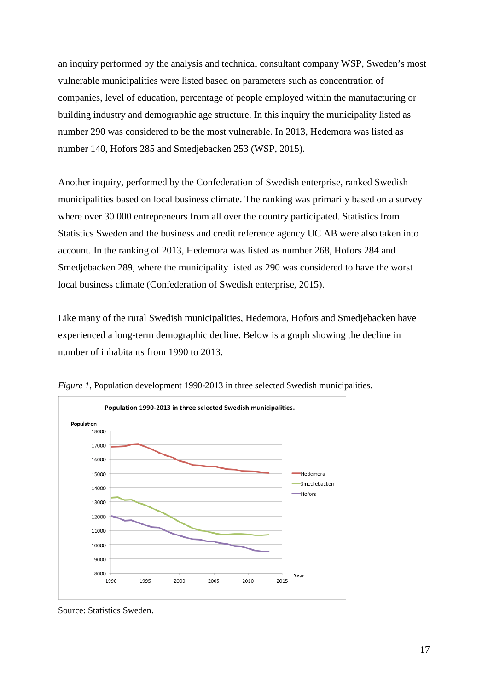an inquiry performed by the analysis and technical consultant company WSP, Sweden's most vulnerable municipalities were listed based on parameters such as concentration of companies, level of education, percentage of people employed within the manufacturing or building industry and demographic age structure. In this inquiry the municipality listed as number 290 was considered to be the most vulnerable. In 2013, Hedemora was listed as number 140, Hofors 285 and Smedjebacken 253 (WSP, 2015).

Another inquiry, performed by the Confederation of Swedish enterprise, ranked Swedish municipalities based on local business climate. The ranking was primarily based on a survey where over 30 000 entrepreneurs from all over the country participated. Statistics from Statistics Sweden and the business and credit reference agency UC AB were also taken into account. In the ranking of 2013, Hedemora was listed as number 268, Hofors 284 and Smedjebacken 289, where the municipality listed as 290 was considered to have the worst local business climate (Confederation of Swedish enterprise, 2015).

Like many of the rural Swedish municipalities, Hedemora, Hofors and Smedjebacken have experienced a long-term demographic decline. Below is a graph showing the decline in number of inhabitants from 1990 to 2013.



*Figure 1*, Population development 1990-2013 in three selected Swedish municipalities.

Source: Statistics Sweden.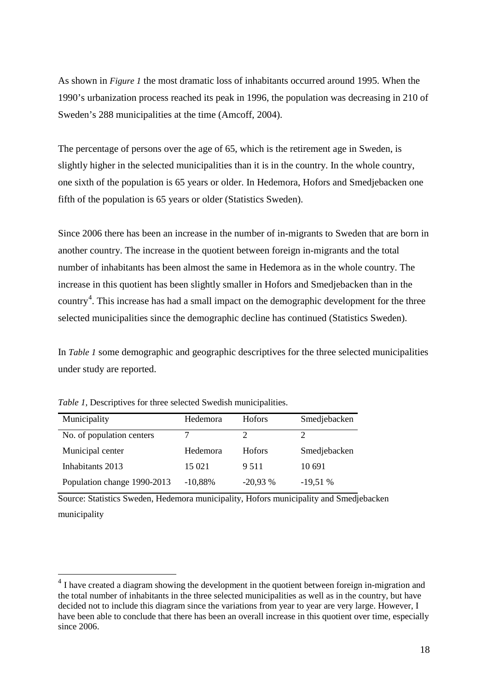As shown in *Figure 1* the most dramatic loss of inhabitants occurred around 1995. When the 1990's urbanization process reached its peak in 1996, the population was decreasing in 210 of Sweden's 288 municipalities at the time (Amcoff, 2004).

The percentage of persons over the age of 65, which is the retirement age in Sweden, is slightly higher in the selected municipalities than it is in the country. In the whole country, one sixth of the population is 65 years or older. In Hedemora, Hofors and Smedjebacken one fifth of the population is 65 years or older (Statistics Sweden).

Since 2006 there has been an increase in the number of in-migrants to Sweden that are born in another country. The increase in the quotient between foreign in-migrants and the total number of inhabitants has been almost the same in Hedemora as in the whole country. The increase in this quotient has been slightly smaller in Hofors and Smedjebacken than in the country<sup>[4](#page-17-0)</sup>. This increase has had a small impact on the demographic development for the three selected municipalities since the demographic decline has continued (Statistics Sweden).

In *Table 1* some demographic and geographic descriptives for the three selected municipalities under study are reported.

| Municipality                | Hedemora  | <b>Hofors</b> | Smedjebacken |
|-----------------------------|-----------|---------------|--------------|
| No. of population centers   |           |               |              |
| Municipal center            | Hedemora  | <b>Hofors</b> | Smedjebacken |
| Inhabitants 2013            | 15 021    | 9.511         | 10.691       |
| Population change 1990-2013 | $-10,88%$ | $-20,93%$     | $-19,51%$    |

*Table 1*, Descriptives for three selected Swedish municipalities.

Source: Statistics Sweden, Hedemora municipality, Hofors municipality and Smedjebacken municipality

<span id="page-17-0"></span><sup>&</sup>lt;sup>4</sup> I have created a diagram showing the development in the quotient between foreign in-migration and the total number of inhabitants in the three selected municipalities as well as in the country, but have decided not to include this diagram since the variations from year to year are very large. However, I have been able to conclude that there has been an overall increase in this quotient over time, especially since 2006.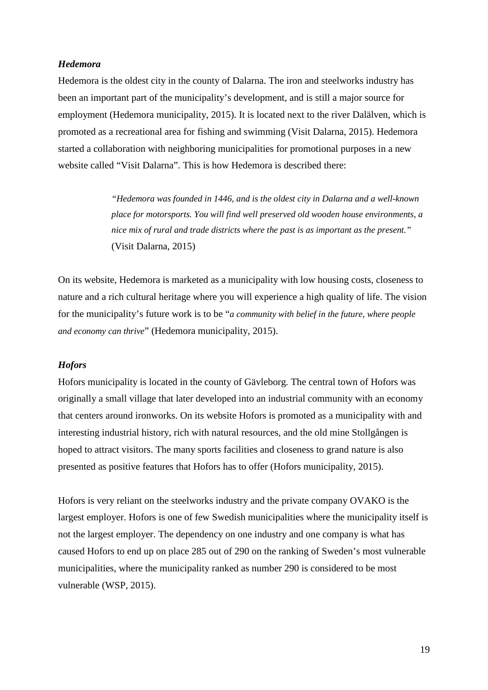#### *Hedemora*

Hedemora is the oldest city in the county of Dalarna. The iron and steelworks industry has been an important part of the municipality's development, and is still a major source for employment (Hedemora municipality, 2015). It is located next to the river Dalälven, which is promoted as a recreational area for fishing and swimming (Visit Dalarna, 2015). Hedemora started a collaboration with neighboring municipalities for promotional purposes in a new website called "Visit Dalarna". This is how Hedemora is described there:

> *"Hedemora was founded in 1446, and is the oldest city in Dalarna and a well-known place for motorsports. You will find well preserved old wooden house environments, a nice mix of rural and trade districts where the past is as important as the present."*  (Visit Dalarna, 2015)

On its website, Hedemora is marketed as a municipality with low housing costs, closeness to nature and a rich cultural heritage where you will experience a high quality of life. The vision for the municipality's future work is to be "*a community with belief in the future, where people and economy can thrive*" (Hedemora municipality, 2015).

#### *Hofors*

Hofors municipality is located in the county of Gävleborg. The central town of Hofors was originally a small village that later developed into an industrial community with an economy that centers around ironworks. On its website Hofors is promoted as a municipality with and interesting industrial history, rich with natural resources, and the old mine Stollgången is hoped to attract visitors. The many sports facilities and closeness to grand nature is also presented as positive features that Hofors has to offer (Hofors municipality, 2015).

Hofors is very reliant on the steelworks industry and the private company OVAKO is the largest employer. Hofors is one of few Swedish municipalities where the municipality itself is not the largest employer. The dependency on one industry and one company is what has caused Hofors to end up on place 285 out of 290 on the ranking of Sweden's most vulnerable municipalities, where the municipality ranked as number 290 is considered to be most vulnerable (WSP, 2015).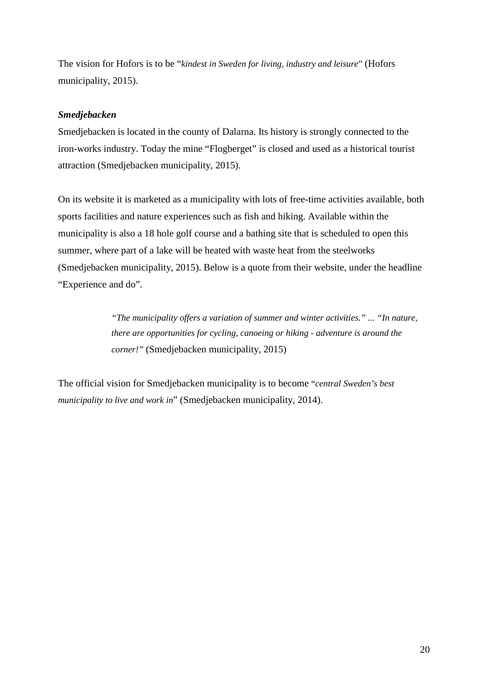The vision for Hofors is to be "*kindest in Sweden for living, industry and leisure*" (Hofors municipality, 2015).

#### *Smedjebacken*

Smedjebacken is located in the county of Dalarna. Its history is strongly connected to the iron-works industry. Today the mine "Flogberget" is closed and used as a historical tourist attraction (Smedjebacken municipality, 2015).

On its website it is marketed as a municipality with lots of free-time activities available, both sports facilities and nature experiences such as fish and hiking. Available within the municipality is also a 18 hole golf course and a bathing site that is scheduled to open this summer, where part of a lake will be heated with waste heat from the steelworks (Smedjebacken municipality, 2015). Below is a quote from their website, under the headline "Experience and do".

> *"The municipality offers a variation of summer and winter activities." ... "In nature, there are opportunities for cycling, canoeing or hiking - adventure is around the corner!"* (Smedjebacken municipality, 2015)

The official vision for Smedjebacken municipality is to become "*central Sweden's best municipality to live and work in*" (Smedjebacken municipality, 2014).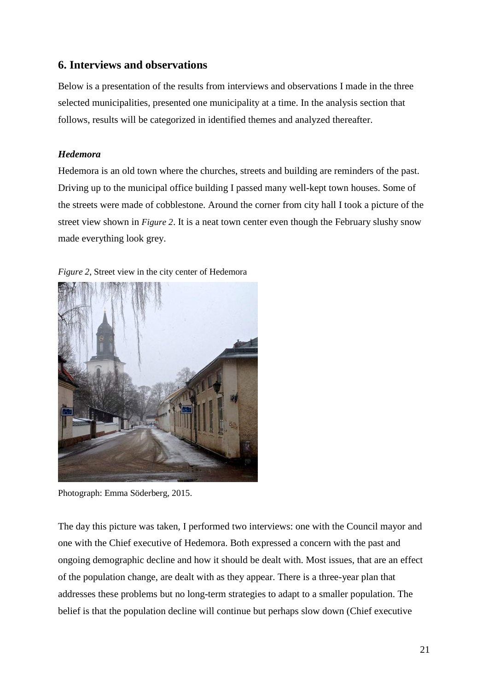## **6. Interviews and observations**

Below is a presentation of the results from interviews and observations I made in the three selected municipalities, presented one municipality at a time. In the analysis section that follows, results will be categorized in identified themes and analyzed thereafter.

## *Hedemora*

Hedemora is an old town where the churches, streets and building are reminders of the past. Driving up to the municipal office building I passed many well-kept town houses. Some of the streets were made of cobblestone. Around the corner from city hall I took a picture of the street view shown in *Figure 2*. It is a neat town center even though the February slushy snow made everything look grey.



*Figure 2*, Street view in the city center of Hedemora

Photograph: Emma Söderberg, 2015.

The day this picture was taken, I performed two interviews: one with the Council mayor and one with the Chief executive of Hedemora. Both expressed a concern with the past and ongoing demographic decline and how it should be dealt with. Most issues, that are an effect of the population change, are dealt with as they appear. There is a three-year plan that addresses these problems but no long-term strategies to adapt to a smaller population. The belief is that the population decline will continue but perhaps slow down (Chief executive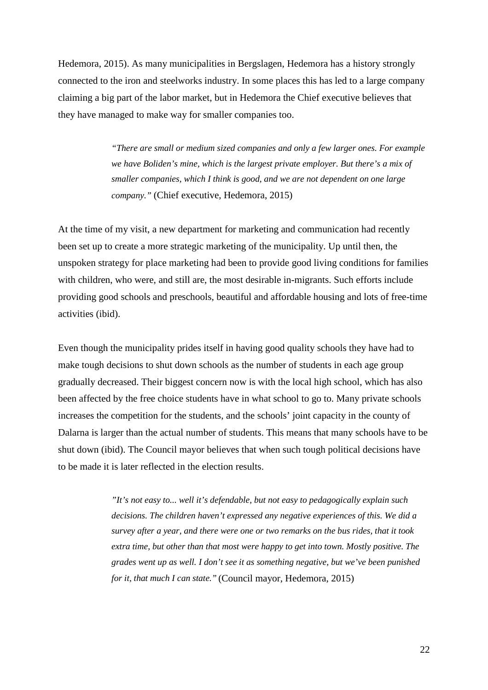Hedemora, 2015). As many municipalities in Bergslagen, Hedemora has a history strongly connected to the iron and steelworks industry. In some places this has led to a large company claiming a big part of the labor market, but in Hedemora the Chief executive believes that they have managed to make way for smaller companies too.

> *"There are small or medium sized companies and only a few larger ones. For example we have Boliden's mine, which is the largest private employer. But there's a mix of smaller companies, which I think is good, and we are not dependent on one large company."* (Chief executive, Hedemora, 2015)

At the time of my visit, a new department for marketing and communication had recently been set up to create a more strategic marketing of the municipality. Up until then, the unspoken strategy for place marketing had been to provide good living conditions for families with children, who were, and still are, the most desirable in-migrants. Such efforts include providing good schools and preschools, beautiful and affordable housing and lots of free-time activities (ibid).

Even though the municipality prides itself in having good quality schools they have had to make tough decisions to shut down schools as the number of students in each age group gradually decreased. Their biggest concern now is with the local high school, which has also been affected by the free choice students have in what school to go to. Many private schools increases the competition for the students, and the schools' joint capacity in the county of Dalarna is larger than the actual number of students. This means that many schools have to be shut down (ibid). The Council mayor believes that when such tough political decisions have to be made it is later reflected in the election results.

> *"It's not easy to... well it's defendable, but not easy to pedagogically explain such decisions. The children haven't expressed any negative experiences of this. We did a survey after a year, and there were one or two remarks on the bus rides, that it took extra time, but other than that most were happy to get into town. Mostly positive. The grades went up as well. I don't see it as something negative, but we've been punished for it, that much I can state."* (Council mayor, Hedemora, 2015)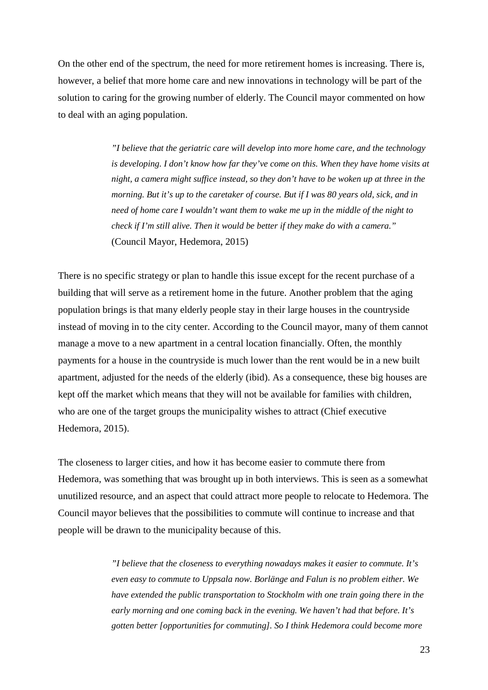On the other end of the spectrum, the need for more retirement homes is increasing. There is, however, a belief that more home care and new innovations in technology will be part of the solution to caring for the growing number of elderly. The Council mayor commented on how to deal with an aging population.

> *"I believe that the geriatric care will develop into more home care, and the technology is developing. I don't know how far they've come on this. When they have home visits at night, a camera might suffice instead, so they don't have to be woken up at three in the morning. But it's up to the caretaker of course. But if I was 80 years old, sick, and in need of home care I wouldn't want them to wake me up in the middle of the night to check if I'm still alive. Then it would be better if they make do with a camera."* (Council Mayor, Hedemora, 2015)

There is no specific strategy or plan to handle this issue except for the recent purchase of a building that will serve as a retirement home in the future. Another problem that the aging population brings is that many elderly people stay in their large houses in the countryside instead of moving in to the city center. According to the Council mayor, many of them cannot manage a move to a new apartment in a central location financially. Often, the monthly payments for a house in the countryside is much lower than the rent would be in a new built apartment, adjusted for the needs of the elderly (ibid). As a consequence, these big houses are kept off the market which means that they will not be available for families with children, who are one of the target groups the municipality wishes to attract (Chief executive Hedemora, 2015).

The closeness to larger cities, and how it has become easier to commute there from Hedemora, was something that was brought up in both interviews. This is seen as a somewhat unutilized resource, and an aspect that could attract more people to relocate to Hedemora. The Council mayor believes that the possibilities to commute will continue to increase and that people will be drawn to the municipality because of this.

> *"I believe that the closeness to everything nowadays makes it easier to commute. It's even easy to commute to Uppsala now. Borlänge and Falun is no problem either. We have extended the public transportation to Stockholm with one train going there in the early morning and one coming back in the evening. We haven't had that before. It's gotten better [opportunities for commuting]. So I think Hedemora could become more*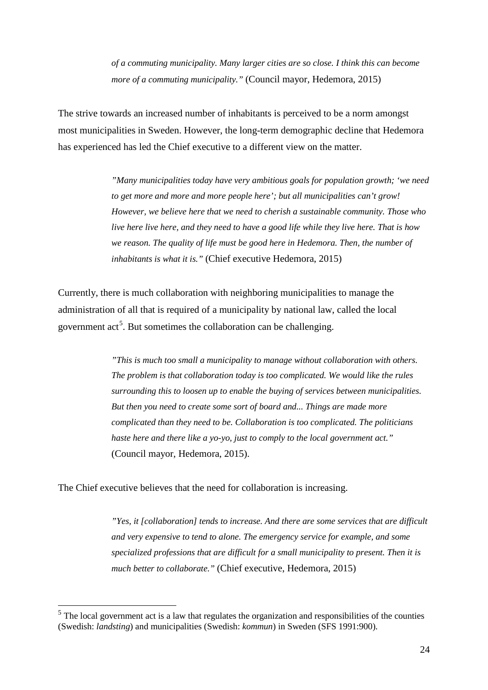*of a commuting municipality. Many larger cities are so close. I think this can become more of a commuting municipality."* (Council mayor, Hedemora, 2015)

The strive towards an increased number of inhabitants is perceived to be a norm amongst most municipalities in Sweden. However, the long-term demographic decline that Hedemora has experienced has led the Chief executive to a different view on the matter.

> *"Many municipalities today have very ambitious goals for population growth; 'we need to get more and more and more people here'; but all municipalities can't grow! However, we believe here that we need to cherish a sustainable community. Those who live here live here, and they need to have a good life while they live here. That is how we reason. The quality of life must be good here in Hedemora. Then, the number of inhabitants is what it is."* (Chief executive Hedemora, 2015)

Currently, there is much collaboration with neighboring municipalities to manage the administration of all that is required of a municipality by national law, called the local government act<sup>[5](#page-23-0)</sup>. But sometimes the collaboration can be challenging.

> *"This is much too small a municipality to manage without collaboration with others. The problem is that collaboration today is too complicated. We would like the rules surrounding this to loosen up to enable the buying of services between municipalities. But then you need to create some sort of board and... Things are made more complicated than they need to be. Collaboration is too complicated. The politicians haste here and there like a yo-yo, just to comply to the local government act."* (Council mayor, Hedemora, 2015).

The Chief executive believes that the need for collaboration is increasing.

*"Yes, it [collaboration] tends to increase. And there are some services that are difficult and very expensive to tend to alone. The emergency service for example, and some specialized professions that are difficult for a small municipality to present. Then it is much better to collaborate."* (Chief executive, Hedemora, 2015)

<span id="page-23-0"></span> <sup>5</sup> The local government act is a law that regulates the organization and responsibilities of the counties (Swedish: *landsting*) and municipalities (Swedish: *kommun*) in Sweden (SFS 1991:900).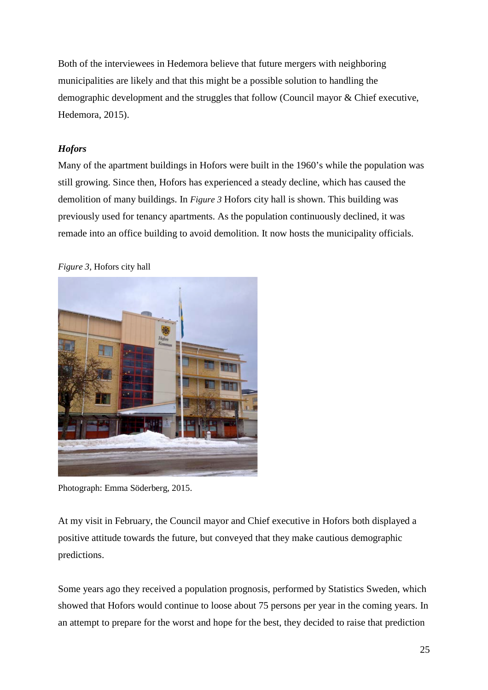Both of the interviewees in Hedemora believe that future mergers with neighboring municipalities are likely and that this might be a possible solution to handling the demographic development and the struggles that follow (Council mayor & Chief executive, Hedemora, 2015).

## *Hofors*

Many of the apartment buildings in Hofors were built in the 1960's while the population was still growing. Since then, Hofors has experienced a steady decline, which has caused the demolition of many buildings. In *Figure 3* Hofors city hall is shown. This building was previously used for tenancy apartments. As the population continuously declined, it was remade into an office building to avoid demolition. It now hosts the municipality officials.

#### *Figure 3,* Hofors city hall



Photograph: Emma Söderberg, 2015.

At my visit in February, the Council mayor and Chief executive in Hofors both displayed a positive attitude towards the future, but conveyed that they make cautious demographic predictions.

Some years ago they received a population prognosis, performed by Statistics Sweden, which showed that Hofors would continue to loose about 75 persons per year in the coming years. In an attempt to prepare for the worst and hope for the best, they decided to raise that prediction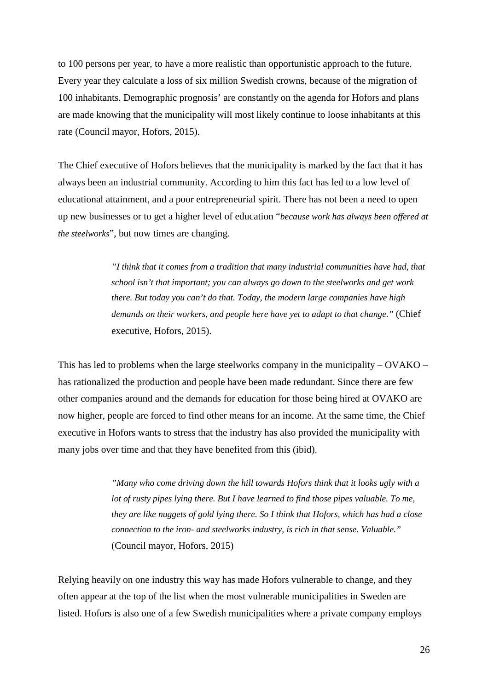to 100 persons per year, to have a more realistic than opportunistic approach to the future. Every year they calculate a loss of six million Swedish crowns, because of the migration of 100 inhabitants. Demographic prognosis' are constantly on the agenda for Hofors and plans are made knowing that the municipality will most likely continue to loose inhabitants at this rate (Council mayor, Hofors, 2015).

The Chief executive of Hofors believes that the municipality is marked by the fact that it has always been an industrial community. According to him this fact has led to a low level of educational attainment, and a poor entrepreneurial spirit. There has not been a need to open up new businesses or to get a higher level of education "*because work has always been offered at the steelworks*", but now times are changing.

> *"I think that it comes from a tradition that many industrial communities have had, that school isn't that important; you can always go down to the steelworks and get work there. But today you can't do that. Today, the modern large companies have high demands on their workers, and people here have yet to adapt to that change."* (Chief executive, Hofors, 2015).

This has led to problems when the large steelworks company in the municipality – OVAKO – has rationalized the production and people have been made redundant. Since there are few other companies around and the demands for education for those being hired at OVAKO are now higher, people are forced to find other means for an income. At the same time, the Chief executive in Hofors wants to stress that the industry has also provided the municipality with many jobs over time and that they have benefited from this (ibid).

> *"Many who come driving down the hill towards Hofors think that it looks ugly with a lot of rusty pipes lying there. But I have learned to find those pipes valuable. To me, they are like nuggets of gold lying there. So I think that Hofors, which has had a close connection to the iron- and steelworks industry, is rich in that sense. Valuable."* (Council mayor, Hofors, 2015)

Relying heavily on one industry this way has made Hofors vulnerable to change, and they often appear at the top of the list when the most vulnerable municipalities in Sweden are listed. Hofors is also one of a few Swedish municipalities where a private company employs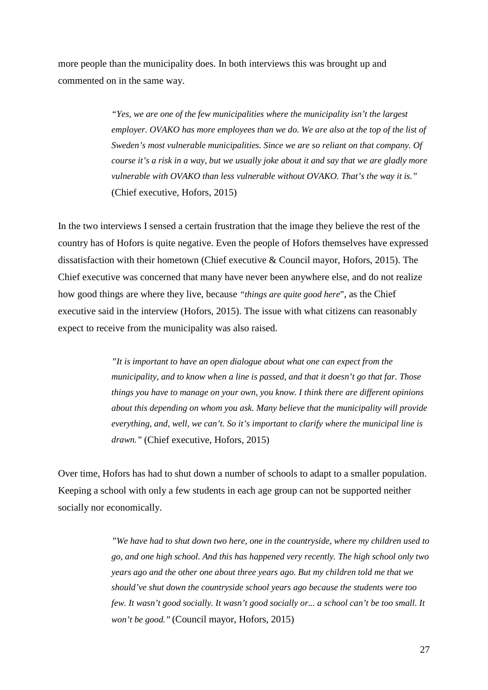more people than the municipality does. In both interviews this was brought up and commented on in the same way.

> *"Yes, we are one of the few municipalities where the municipality isn't the largest employer. OVAKO has more employees than we do. We are also at the top of the list of Sweden's most vulnerable municipalities. Since we are so reliant on that company. Of course it's a risk in a way, but we usually joke about it and say that we are gladly more vulnerable with OVAKO than less vulnerable without OVAKO. That's the way it is."* (Chief executive, Hofors, 2015)

In the two interviews I sensed a certain frustration that the image they believe the rest of the country has of Hofors is quite negative. Even the people of Hofors themselves have expressed dissatisfaction with their hometown (Chief executive & Council mayor, Hofors, 2015). The Chief executive was concerned that many have never been anywhere else, and do not realize how good things are where they live, because *"things are quite good here*", as the Chief executive said in the interview (Hofors, 2015). The issue with what citizens can reasonably expect to receive from the municipality was also raised.

> *"It is important to have an open dialogue about what one can expect from the municipality, and to know when a line is passed, and that it doesn't go that far. Those things you have to manage on your own, you know. I think there are different opinions about this depending on whom you ask. Many believe that the municipality will provide everything, and, well, we can't. So it's important to clarify where the municipal line is drawn."* (Chief executive, Hofors, 2015)

Over time, Hofors has had to shut down a number of schools to adapt to a smaller population. Keeping a school with only a few students in each age group can not be supported neither socially nor economically.

> *"We have had to shut down two here, one in the countryside, where my children used to go, and one high school. And this has happened very recently. The high school only two years ago and the other one about three years ago. But my children told me that we should've shut down the countryside school years ago because the students were too few. It wasn't good socially. It wasn't good socially or... a school can't be too small. It won't be good."* (Council mayor, Hofors, 2015)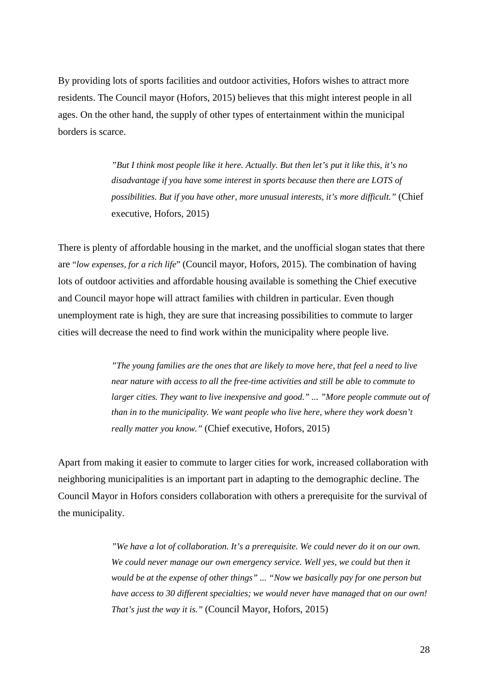By providing lots of sports facilities and outdoor activities, Hofors wishes to attract more residents. The Council mayor (Hofors, 2015) believes that this might interest people in all ages. On the other hand, the supply of other types of entertainment within the municipal borders is scarce.

> *"But I think most people like it here. Actually. But then let's put it like this, it's no disadvantage if you have some interest in sports because then there are LOTS of possibilities. But if you have other, more unusual interests, it's more difficult."* (Chief executive, Hofors, 2015)

There is plenty of affordable housing in the market, and the unofficial slogan states that there are "*low expenses, for a rich life*" (Council mayor, Hofors, 2015). The combination of having lots of outdoor activities and affordable housing available is something the Chief executive and Council mayor hope will attract families with children in particular. Even though unemployment rate is high, they are sure that increasing possibilities to commute to larger cities will decrease the need to find work within the municipality where people live.

> *"The young families are the ones that are likely to move here, that feel a need to live near nature with access to all the free-time activities and still be able to commute to larger cities. They want to live inexpensive and good." ... "More people commute out of than in to the municipality. We want people who live here, where they work doesn't really matter you know."* (Chief executive, Hofors, 2015)

Apart from making it easier to commute to larger cities for work, increased collaboration with neighboring municipalities is an important part in adapting to the demographic decline. The Council Mayor in Hofors considers collaboration with others a prerequisite for the survival of the municipality.

> *"We have a lot of collaboration. It's a prerequisite. We could never do it on our own.*  We could never manage our own emergency service. Well yes, we could but then it *would be at the expense of other things" ... "Now we basically pay for one person but have access to 30 different specialties; we would never have managed that on our own! That's just the way it is."* (Council Mayor, Hofors, 2015)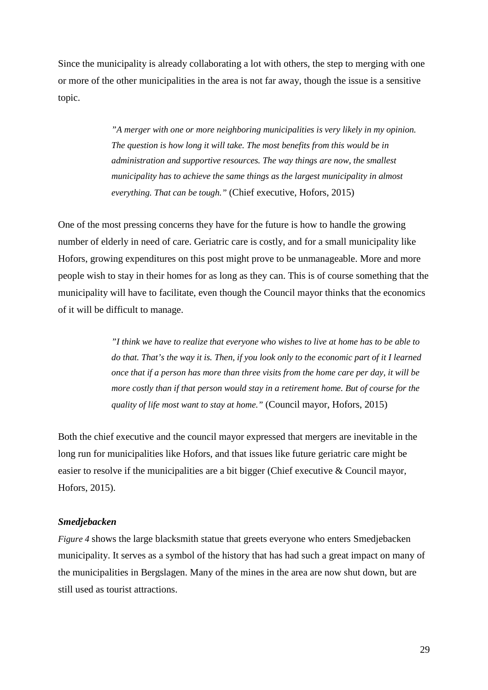Since the municipality is already collaborating a lot with others, the step to merging with one or more of the other municipalities in the area is not far away, though the issue is a sensitive topic.

> *"A merger with one or more neighboring municipalities is very likely in my opinion. The question is how long it will take. The most benefits from this would be in administration and supportive resources. The way things are now, the smallest municipality has to achieve the same things as the largest municipality in almost everything. That can be tough."* (Chief executive, Hofors, 2015)

One of the most pressing concerns they have for the future is how to handle the growing number of elderly in need of care. Geriatric care is costly, and for a small municipality like Hofors, growing expenditures on this post might prove to be unmanageable. More and more people wish to stay in their homes for as long as they can. This is of course something that the municipality will have to facilitate, even though the Council mayor thinks that the economics of it will be difficult to manage.

> *"I think we have to realize that everyone who wishes to live at home has to be able to do that. That's the way it is. Then, if you look only to the economic part of it I learned once that if a person has more than three visits from the home care per day, it will be more costly than if that person would stay in a retirement home. But of course for the quality of life most want to stay at home."* (Council mayor, Hofors, 2015)

Both the chief executive and the council mayor expressed that mergers are inevitable in the long run for municipalities like Hofors, and that issues like future geriatric care might be easier to resolve if the municipalities are a bit bigger (Chief executive & Council mayor, Hofors, 2015).

#### *Smedjebacken*

*Figure 4* shows the large blacksmith statue that greets everyone who enters Smedjebacken municipality. It serves as a symbol of the history that has had such a great impact on many of the municipalities in Bergslagen. Many of the mines in the area are now shut down, but are still used as tourist attractions.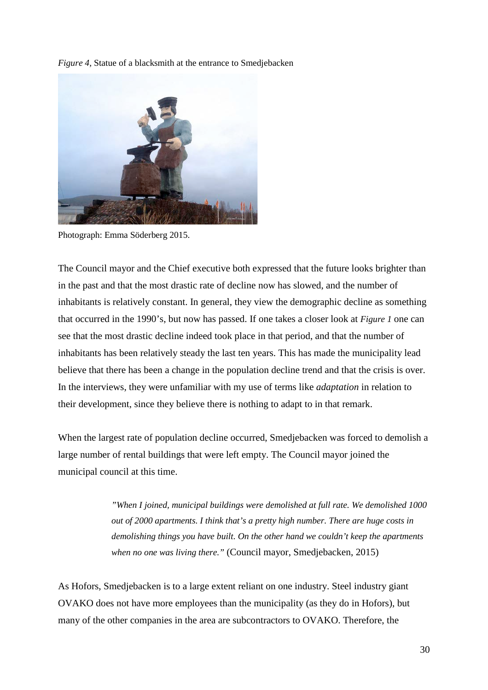*Figure 4,* Statue of a blacksmith at the entrance to Smedjebacken



Photograph: Emma Söderberg 2015.

The Council mayor and the Chief executive both expressed that the future looks brighter than in the past and that the most drastic rate of decline now has slowed, and the number of inhabitants is relatively constant. In general, they view the demographic decline as something that occurred in the 1990's, but now has passed. If one takes a closer look at *Figure 1* one can see that the most drastic decline indeed took place in that period, and that the number of inhabitants has been relatively steady the last ten years. This has made the municipality lead believe that there has been a change in the population decline trend and that the crisis is over. In the interviews, they were unfamiliar with my use of terms like *adaptation* in relation to their development, since they believe there is nothing to adapt to in that remark.

When the largest rate of population decline occurred, Smedjebacken was forced to demolish a large number of rental buildings that were left empty. The Council mayor joined the municipal council at this time.

> *"When I joined, municipal buildings were demolished at full rate. We demolished 1000 out of 2000 apartments. I think that's a pretty high number. There are huge costs in demolishing things you have built. On the other hand we couldn't keep the apartments when no one was living there."* (Council mayor, Smedjebacken, 2015)

As Hofors, Smedjebacken is to a large extent reliant on one industry. Steel industry giant OVAKO does not have more employees than the municipality (as they do in Hofors), but many of the other companies in the area are subcontractors to OVAKO. Therefore, the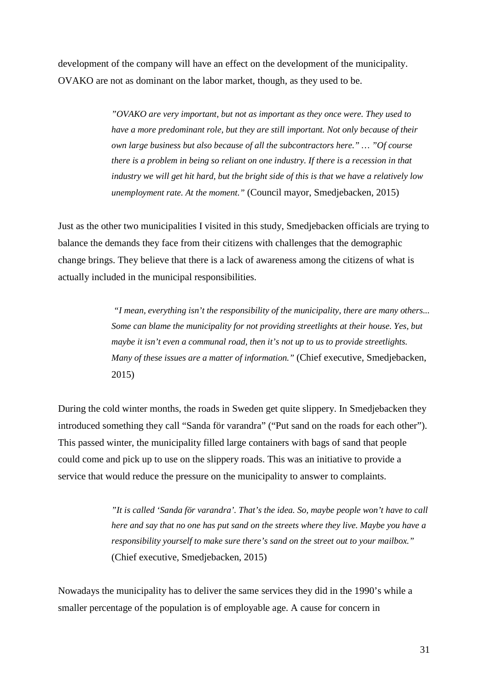development of the company will have an effect on the development of the municipality. OVAKO are not as dominant on the labor market, though, as they used to be.

> *"OVAKO are very important, but not as important as they once were. They used to have a more predominant role, but they are still important. Not only because of their own large business but also because of all the subcontractors here." … "Of course there is a problem in being so reliant on one industry. If there is a recession in that industry we will get hit hard, but the bright side of this is that we have a relatively low unemployment rate. At the moment."* (Council mayor, Smedjebacken, 2015)

Just as the other two municipalities I visited in this study, Smedjebacken officials are trying to balance the demands they face from their citizens with challenges that the demographic change brings. They believe that there is a lack of awareness among the citizens of what is actually included in the municipal responsibilities.

> *"I mean, everything isn't the responsibility of the municipality, there are many others... Some can blame the municipality for not providing streetlights at their house. Yes, but maybe it isn't even a communal road, then it's not up to us to provide streetlights. Many of these issues are a matter of information."* (Chief executive, Smedjebacken, 2015)

During the cold winter months, the roads in Sweden get quite slippery. In Smedjebacken they introduced something they call "Sanda för varandra" ("Put sand on the roads for each other"). This passed winter, the municipality filled large containers with bags of sand that people could come and pick up to use on the slippery roads. This was an initiative to provide a service that would reduce the pressure on the municipality to answer to complaints.

> *"It is called 'Sanda för varandra'. That's the idea. So, maybe people won't have to call here and say that no one has put sand on the streets where they live. Maybe you have a responsibility yourself to make sure there's sand on the street out to your mailbox."* (Chief executive, Smedjebacken, 2015)

Nowadays the municipality has to deliver the same services they did in the 1990's while a smaller percentage of the population is of employable age. A cause for concern in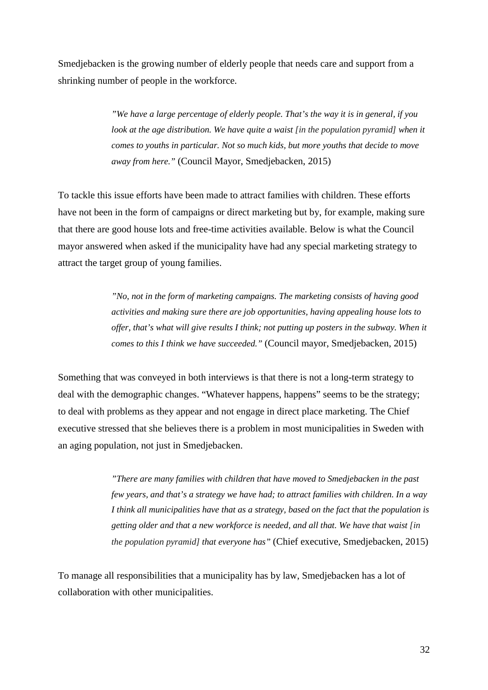Smedjebacken is the growing number of elderly people that needs care and support from a shrinking number of people in the workforce.

> *"We have a large percentage of elderly people. That's the way it is in general, if you look at the age distribution. We have quite a waist [in the population pyramid] when it comes to youths in particular. Not so much kids, but more youths that decide to move away from here."* (Council Mayor, Smedjebacken, 2015)

To tackle this issue efforts have been made to attract families with children. These efforts have not been in the form of campaigns or direct marketing but by, for example, making sure that there are good house lots and free-time activities available. Below is what the Council mayor answered when asked if the municipality have had any special marketing strategy to attract the target group of young families.

> *"No, not in the form of marketing campaigns. The marketing consists of having good activities and making sure there are job opportunities, having appealing house lots to offer, that's what will give results I think; not putting up posters in the subway. When it comes to this I think we have succeeded."* (Council mayor, Smedjebacken, 2015)

Something that was conveyed in both interviews is that there is not a long-term strategy to deal with the demographic changes. "Whatever happens, happens" seems to be the strategy; to deal with problems as they appear and not engage in direct place marketing. The Chief executive stressed that she believes there is a problem in most municipalities in Sweden with an aging population, not just in Smedjebacken.

> *"There are many families with children that have moved to Smedjebacken in the past few years, and that's a strategy we have had; to attract families with children. In a way I think all municipalities have that as a strategy, based on the fact that the population is getting older and that a new workforce is needed, and all that. We have that waist [in the population pyramid] that everyone has"* (Chief executive, Smedjebacken, 2015)

To manage all responsibilities that a municipality has by law, Smedjebacken has a lot of collaboration with other municipalities.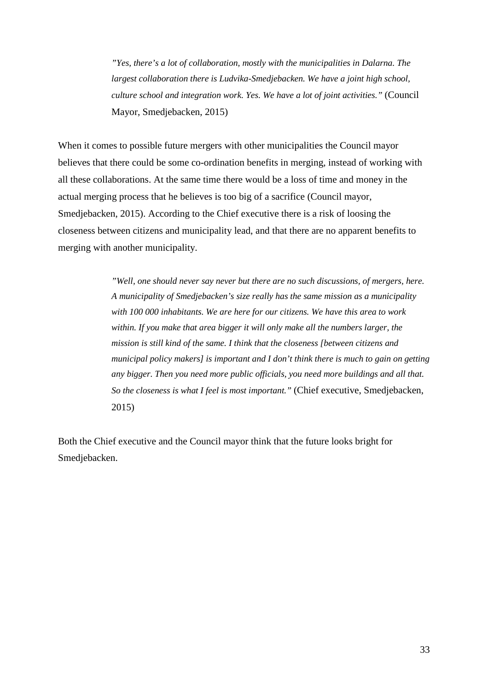*"Yes, there's a lot of collaboration, mostly with the municipalities in Dalarna. The largest collaboration there is Ludvika-Smedjebacken. We have a joint high school, culture school and integration work. Yes. We have a lot of joint activities."* (Council Mayor, Smedjebacken, 2015)

When it comes to possible future mergers with other municipalities the Council mayor believes that there could be some co-ordination benefits in merging, instead of working with all these collaborations. At the same time there would be a loss of time and money in the actual merging process that he believes is too big of a sacrifice (Council mayor, Smedjebacken, 2015). According to the Chief executive there is a risk of loosing the closeness between citizens and municipality lead, and that there are no apparent benefits to merging with another municipality.

> *"Well, one should never say never but there are no such discussions, of mergers, here. A municipality of Smedjebacken's size really has the same mission as a municipality with 100 000 inhabitants. We are here for our citizens. We have this area to work within. If you make that area bigger it will only make all the numbers larger, the mission is still kind of the same. I think that the closeness [between citizens and municipal policy makers] is important and I don't think there is much to gain on getting any bigger. Then you need more public officials, you need more buildings and all that. So the closeness is what I feel is most important."* (Chief executive, Smedjebacken, 2015)

Both the Chief executive and the Council mayor think that the future looks bright for Smedjebacken.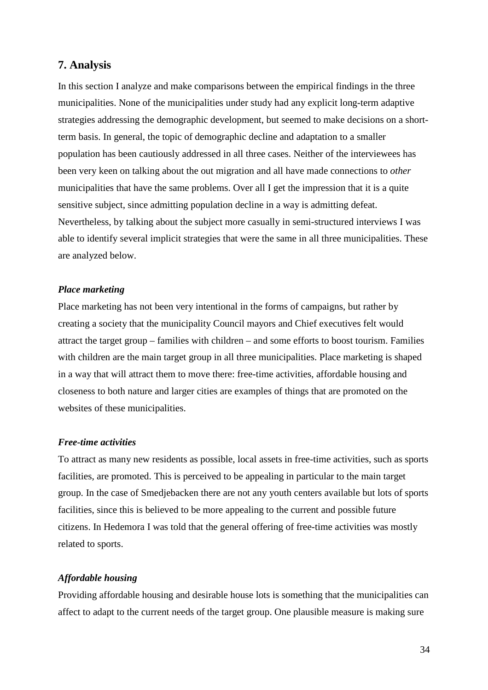## **7. Analysis**

In this section I analyze and make comparisons between the empirical findings in the three municipalities. None of the municipalities under study had any explicit long-term adaptive strategies addressing the demographic development, but seemed to make decisions on a shortterm basis. In general, the topic of demographic decline and adaptation to a smaller population has been cautiously addressed in all three cases. Neither of the interviewees has been very keen on talking about the out migration and all have made connections to *other*  municipalities that have the same problems. Over all I get the impression that it is a quite sensitive subject, since admitting population decline in a way is admitting defeat. Nevertheless, by talking about the subject more casually in semi-structured interviews I was able to identify several implicit strategies that were the same in all three municipalities. These are analyzed below.

#### *Place marketing*

Place marketing has not been very intentional in the forms of campaigns, but rather by creating a society that the municipality Council mayors and Chief executives felt would attract the target group – families with children – and some efforts to boost tourism. Families with children are the main target group in all three municipalities. Place marketing is shaped in a way that will attract them to move there: free-time activities, affordable housing and closeness to both nature and larger cities are examples of things that are promoted on the websites of these municipalities.

#### *Free-time activities*

To attract as many new residents as possible, local assets in free-time activities, such as sports facilities, are promoted. This is perceived to be appealing in particular to the main target group. In the case of Smedjebacken there are not any youth centers available but lots of sports facilities, since this is believed to be more appealing to the current and possible future citizens. In Hedemora I was told that the general offering of free-time activities was mostly related to sports.

#### *Affordable housing*

Providing affordable housing and desirable house lots is something that the municipalities can affect to adapt to the current needs of the target group. One plausible measure is making sure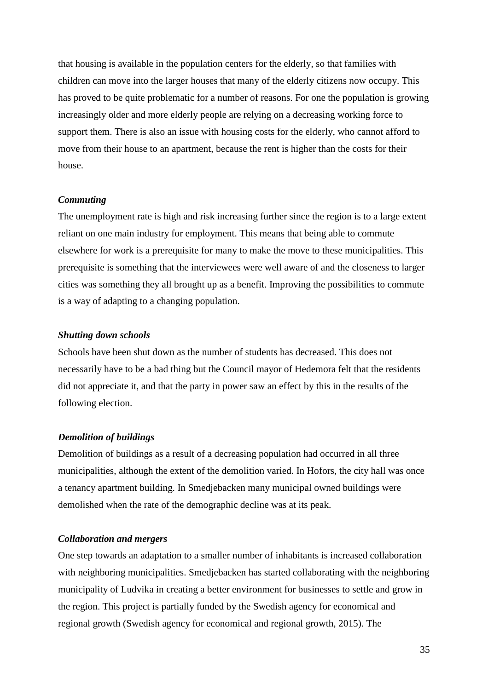that housing is available in the population centers for the elderly, so that families with children can move into the larger houses that many of the elderly citizens now occupy. This has proved to be quite problematic for a number of reasons. For one the population is growing increasingly older and more elderly people are relying on a decreasing working force to support them. There is also an issue with housing costs for the elderly, who cannot afford to move from their house to an apartment, because the rent is higher than the costs for their house.

#### *Commuting*

The unemployment rate is high and risk increasing further since the region is to a large extent reliant on one main industry for employment. This means that being able to commute elsewhere for work is a prerequisite for many to make the move to these municipalities. This prerequisite is something that the interviewees were well aware of and the closeness to larger cities was something they all brought up as a benefit. Improving the possibilities to commute is a way of adapting to a changing population.

#### *Shutting down schools*

Schools have been shut down as the number of students has decreased. This does not necessarily have to be a bad thing but the Council mayor of Hedemora felt that the residents did not appreciate it, and that the party in power saw an effect by this in the results of the following election.

#### *Demolition of buildings*

Demolition of buildings as a result of a decreasing population had occurred in all three municipalities, although the extent of the demolition varied. In Hofors, the city hall was once a tenancy apartment building. In Smedjebacken many municipal owned buildings were demolished when the rate of the demographic decline was at its peak.

#### *Collaboration and mergers*

One step towards an adaptation to a smaller number of inhabitants is increased collaboration with neighboring municipalities. Smedjebacken has started collaborating with the neighboring municipality of Ludvika in creating a better environment for businesses to settle and grow in the region. This project is partially funded by the Swedish agency for economical and regional growth (Swedish agency for economical and regional growth, 2015). The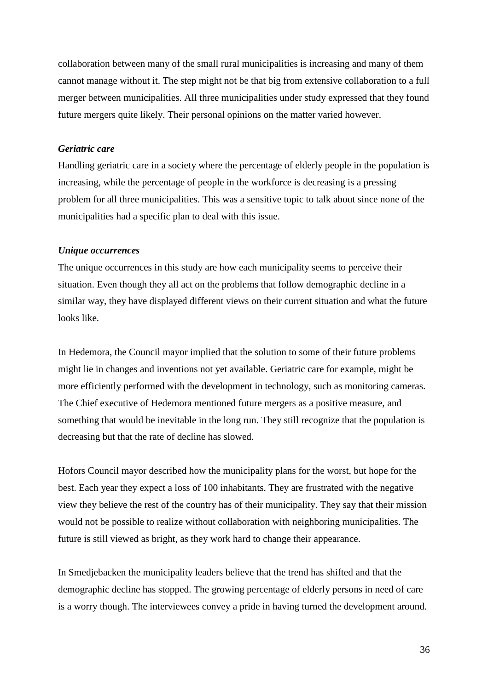collaboration between many of the small rural municipalities is increasing and many of them cannot manage without it. The step might not be that big from extensive collaboration to a full merger between municipalities. All three municipalities under study expressed that they found future mergers quite likely. Their personal opinions on the matter varied however.

#### *Geriatric care*

Handling geriatric care in a society where the percentage of elderly people in the population is increasing, while the percentage of people in the workforce is decreasing is a pressing problem for all three municipalities. This was a sensitive topic to talk about since none of the municipalities had a specific plan to deal with this issue.

#### *Unique occurrences*

The unique occurrences in this study are how each municipality seems to perceive their situation. Even though they all act on the problems that follow demographic decline in a similar way, they have displayed different views on their current situation and what the future looks like.

In Hedemora, the Council mayor implied that the solution to some of their future problems might lie in changes and inventions not yet available. Geriatric care for example, might be more efficiently performed with the development in technology, such as monitoring cameras. The Chief executive of Hedemora mentioned future mergers as a positive measure, and something that would be inevitable in the long run. They still recognize that the population is decreasing but that the rate of decline has slowed.

Hofors Council mayor described how the municipality plans for the worst, but hope for the best. Each year they expect a loss of 100 inhabitants. They are frustrated with the negative view they believe the rest of the country has of their municipality. They say that their mission would not be possible to realize without collaboration with neighboring municipalities. The future is still viewed as bright, as they work hard to change their appearance.

In Smedjebacken the municipality leaders believe that the trend has shifted and that the demographic decline has stopped. The growing percentage of elderly persons in need of care is a worry though. The interviewees convey a pride in having turned the development around.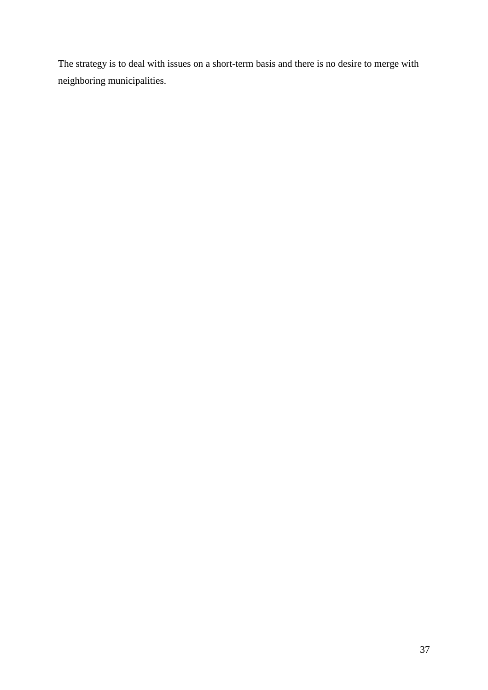The strategy is to deal with issues on a short-term basis and there is no desire to merge with neighboring municipalities.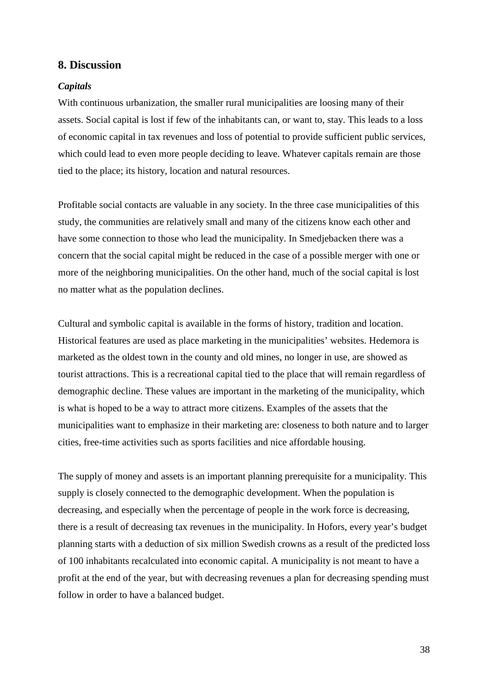#### **8. Discussion**

#### *Capitals*

With continuous urbanization, the smaller rural municipalities are loosing many of their assets. Social capital is lost if few of the inhabitants can, or want to, stay. This leads to a loss of economic capital in tax revenues and loss of potential to provide sufficient public services, which could lead to even more people deciding to leave. Whatever capitals remain are those tied to the place; its history, location and natural resources.

Profitable social contacts are valuable in any society. In the three case municipalities of this study, the communities are relatively small and many of the citizens know each other and have some connection to those who lead the municipality. In Smedjebacken there was a concern that the social capital might be reduced in the case of a possible merger with one or more of the neighboring municipalities. On the other hand, much of the social capital is lost no matter what as the population declines.

Cultural and symbolic capital is available in the forms of history, tradition and location. Historical features are used as place marketing in the municipalities' websites. Hedemora is marketed as the oldest town in the county and old mines, no longer in use, are showed as tourist attractions. This is a recreational capital tied to the place that will remain regardless of demographic decline. These values are important in the marketing of the municipality, which is what is hoped to be a way to attract more citizens. Examples of the assets that the municipalities want to emphasize in their marketing are: closeness to both nature and to larger cities, free-time activities such as sports facilities and nice affordable housing.

The supply of money and assets is an important planning prerequisite for a municipality. This supply is closely connected to the demographic development. When the population is decreasing, and especially when the percentage of people in the work force is decreasing, there is a result of decreasing tax revenues in the municipality. In Hofors, every year's budget planning starts with a deduction of six million Swedish crowns as a result of the predicted loss of 100 inhabitants recalculated into economic capital. A municipality is not meant to have a profit at the end of the year, but with decreasing revenues a plan for decreasing spending must follow in order to have a balanced budget.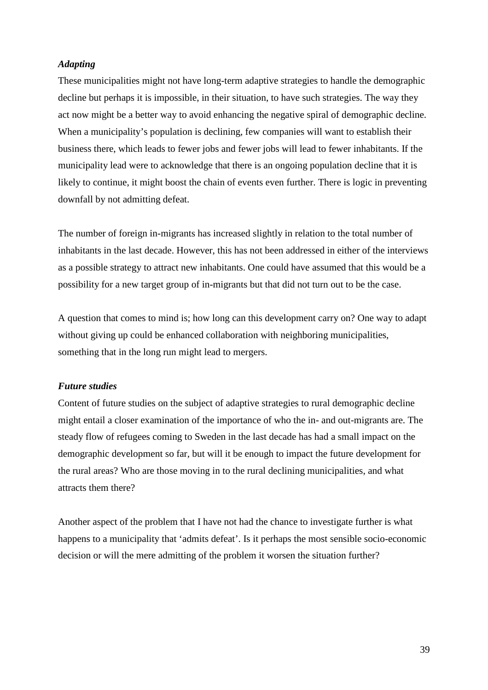#### *Adapting*

These municipalities might not have long-term adaptive strategies to handle the demographic decline but perhaps it is impossible, in their situation, to have such strategies. The way they act now might be a better way to avoid enhancing the negative spiral of demographic decline. When a municipality's population is declining, few companies will want to establish their business there, which leads to fewer jobs and fewer jobs will lead to fewer inhabitants. If the municipality lead were to acknowledge that there is an ongoing population decline that it is likely to continue, it might boost the chain of events even further. There is logic in preventing downfall by not admitting defeat.

The number of foreign in-migrants has increased slightly in relation to the total number of inhabitants in the last decade. However, this has not been addressed in either of the interviews as a possible strategy to attract new inhabitants. One could have assumed that this would be a possibility for a new target group of in-migrants but that did not turn out to be the case.

A question that comes to mind is; how long can this development carry on? One way to adapt without giving up could be enhanced collaboration with neighboring municipalities, something that in the long run might lead to mergers.

#### *Future studies*

Content of future studies on the subject of adaptive strategies to rural demographic decline might entail a closer examination of the importance of who the in- and out-migrants are. The steady flow of refugees coming to Sweden in the last decade has had a small impact on the demographic development so far, but will it be enough to impact the future development for the rural areas? Who are those moving in to the rural declining municipalities, and what attracts them there?

Another aspect of the problem that I have not had the chance to investigate further is what happens to a municipality that 'admits defeat'. Is it perhaps the most sensible socio-economic decision or will the mere admitting of the problem it worsen the situation further?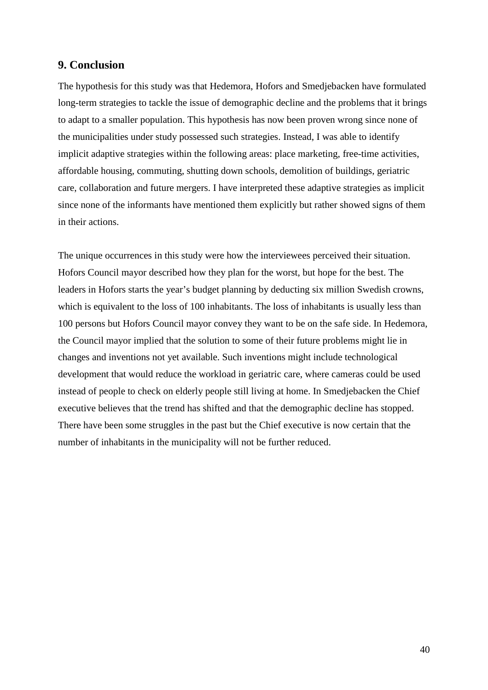## **9. Conclusion**

The hypothesis for this study was that Hedemora, Hofors and Smedjebacken have formulated long-term strategies to tackle the issue of demographic decline and the problems that it brings to adapt to a smaller population. This hypothesis has now been proven wrong since none of the municipalities under study possessed such strategies. Instead, I was able to identify implicit adaptive strategies within the following areas: place marketing, free-time activities, affordable housing, commuting, shutting down schools, demolition of buildings, geriatric care, collaboration and future mergers. I have interpreted these adaptive strategies as implicit since none of the informants have mentioned them explicitly but rather showed signs of them in their actions.

The unique occurrences in this study were how the interviewees perceived their situation. Hofors Council mayor described how they plan for the worst, but hope for the best. The leaders in Hofors starts the year's budget planning by deducting six million Swedish crowns, which is equivalent to the loss of 100 inhabitants. The loss of inhabitants is usually less than 100 persons but Hofors Council mayor convey they want to be on the safe side. In Hedemora, the Council mayor implied that the solution to some of their future problems might lie in changes and inventions not yet available. Such inventions might include technological development that would reduce the workload in geriatric care, where cameras could be used instead of people to check on elderly people still living at home. In Smedjebacken the Chief executive believes that the trend has shifted and that the demographic decline has stopped. There have been some struggles in the past but the Chief executive is now certain that the number of inhabitants in the municipality will not be further reduced.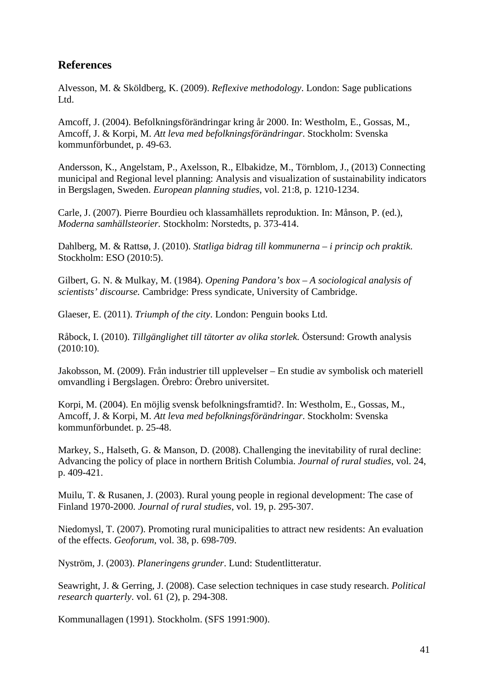## **References**

Alvesson, M. & Sköldberg, K. (2009). *Reflexive methodology*. London: Sage publications Ltd.

Amcoff, J. (2004). Befolkningsförändringar kring år 2000. In: Westholm, E., Gossas, M., Amcoff, J. & Korpi, M. *Att leva med befolkningsförändringar*. Stockholm: Svenska kommunförbundet, p. 49-63.

Andersson, K., Angelstam, P., Axelsson, R., Elbakidze, M., Törnblom, J., (2013) Connecting municipal and Regional level planning: Analysis and visualization of sustainability indicators in Bergslagen, Sweden. *European planning studies*, vol. 21:8, p. 1210-1234.

Carle, J. (2007). Pierre Bourdieu och klassamhällets reproduktion. In: Månson, P. (ed.), *Moderna samhällsteorier.* Stockholm: Norstedts, p. 373-414.

Dahlberg, M. & Rattsø, J. (2010). *Statliga bidrag till kommunerna – i princip och praktik*. Stockholm: ESO (2010:5).

Gilbert, G. N. & Mulkay, M. (1984). *Opening Pandora's box – A sociological analysis of scientists' discourse.* Cambridge: Press syndicate, University of Cambridge.

Glaeser, E. (2011). *Triumph of the city*. London: Penguin books Ltd.

Råbock, I. (2010). *Tillgänglighet till tätorter av olika storlek.* Östersund: Growth analysis (2010:10).

Jakobsson, M. (2009). Från industrier till upplevelser – En studie av symbolisk och materiell omvandling i Bergslagen. Örebro: Örebro universitet.

Korpi, M. (2004). En möjlig svensk befolkningsframtid?. In: Westholm, E., Gossas, M., Amcoff, J. & Korpi, M. *Att leva med befolkningsförändringar*. Stockholm: Svenska kommunförbundet. p. 25-48.

Markey, S., Halseth, G. & Manson, D. (2008). Challenging the inevitability of rural decline: Advancing the policy of place in northern British Columbia. *Journal of rural studies*, vol. 24, p. 409-421.

Muilu, T. & Rusanen, J. (2003). Rural young people in regional development: The case of Finland 1970-2000. *Journal of rural studies*, vol. 19, p. 295-307.

Niedomysl, T. (2007). Promoting rural municipalities to attract new residents: An evaluation of the effects. *Geoforum*, vol. 38, p. 698-709.

Nyström, J. (2003). *Planeringens grunder*. Lund: Studentlitteratur.

Seawright, J. & Gerring, J. (2008). Case selection techniques in case study research. *Political research quarterly*. vol. 61 (2), p. 294-308.

Kommunallagen (1991). Stockholm. (SFS 1991:900).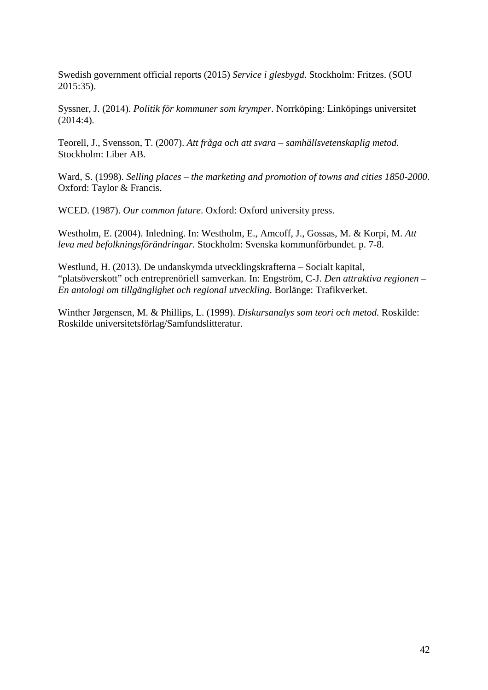Swedish government official reports (2015) *Service i glesbygd*. Stockholm: Fritzes. (SOU 2015:35).

Syssner, J. (2014). *Politik för kommuner som krymper*. Norrköping: Linköpings universitet (2014:4).

Teorell, J., Svensson, T. (2007). *Att fråga och att svara – samhällsvetenskaplig metod.* Stockholm: Liber AB.

Ward, S. (1998). *Selling places – the marketing and promotion of towns and cities 1850-2000*. Oxford: Taylor & Francis.

WCED. (1987). *Our common future*. Oxford: Oxford university press.

Westholm, E. (2004). Inledning. In: Westholm, E., Amcoff, J., Gossas, M. & Korpi, M. *Att leva med befolkningsförändringar.* Stockholm: Svenska kommunförbundet. p. 7-8.

Westlund, H. (2013). De undanskymda utvecklingskrafterna – Socialt kapital, "platsöverskott" och entreprenöriell samverkan. In: Engström, C-J. *Den attraktiva regionen – En antologi om tillgänglighet och regional utveckling*. Borlänge: Trafikverket.

Winther Jørgensen, M. & Phillips, L. (1999). *Diskursanalys som teori och metod.* Roskilde: Roskilde universitetsförlag/Samfundslitteratur.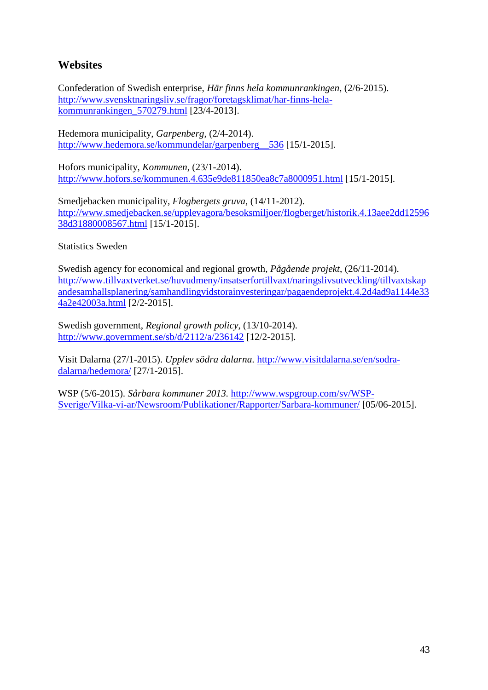## **Websites**

Confederation of Swedish enterprise, *Här finns hela kommunrankingen,* (2/6-2015). [http://www.svensktnaringsliv.se/fragor/foretagsklimat/har-finns-hela](http://www.svensktnaringsliv.se/fragor/foretagsklimat/har-finns-hela-kommunrankingen_570279.html)[kommunrankingen\\_570279.html](http://www.svensktnaringsliv.se/fragor/foretagsklimat/har-finns-hela-kommunrankingen_570279.html) [23/4-2013].

Hedemora municipality, *Garpenberg*, (2/4-2014). [http://www.hedemora.se/kommundelar/garpenberg\\_\\_536](http://www.hedemora.se/kommundelar/garpenberg__536) [15/1-2015].

Hofors municipality, *Kommunen*, (23/1-2014). <http://www.hofors.se/kommunen.4.635e9de811850ea8c7a8000951.html> [15/1-2015].

Smedjebacken municipality, *Flogbergets gruva*, (14/11-2012). [http://www.smedjebacken.se/upplevagora/besoksmiljoer/flogberget/historik.4.13aee2dd12596](http://www.smedjebacken.se/upplevagora/besoksmiljoer/flogberget/historik.4.13aee2dd1259638d31880008567.html) [38d31880008567.html](http://www.smedjebacken.se/upplevagora/besoksmiljoer/flogberget/historik.4.13aee2dd1259638d31880008567.html) [15/1-2015].

Statistics Sweden

Swedish agency for economical and regional growth, *Pågående projekt*, (26/11-2014). [http://www.tillvaxtverket.se/huvudmeny/insatserfortillvaxt/naringslivsutveckling/tillvaxtskap](http://www.tillvaxtverket.se/huvudmeny/insatserfortillvaxt/naringslivsutveckling/tillvaxtskapandesamhallsplanering/samhandlingvidstorainvesteringar/pagaendeprojekt.4.2d4ad9a1144e334a2e42003a.html) [andesamhallsplanering/samhandlingvidstorainvesteringar/pagaendeprojekt.4.2d4ad9a1144e33](http://www.tillvaxtverket.se/huvudmeny/insatserfortillvaxt/naringslivsutveckling/tillvaxtskapandesamhallsplanering/samhandlingvidstorainvesteringar/pagaendeprojekt.4.2d4ad9a1144e334a2e42003a.html) [4a2e42003a.html](http://www.tillvaxtverket.se/huvudmeny/insatserfortillvaxt/naringslivsutveckling/tillvaxtskapandesamhallsplanering/samhandlingvidstorainvesteringar/pagaendeprojekt.4.2d4ad9a1144e334a2e42003a.html) [2/2-2015].

Swedish government, *Regional growth policy*, (13/10-2014). <http://www.government.se/sb/d/2112/a/236142> [12/2-2015].

Visit Dalarna (27/1-2015). *Upplev södra dalarna*. [http://www.visitdalarna.se/en/sodra](http://www.visitdalarna.se/en/sodra-dalarna/hedemora/)[dalarna/hedemora/](http://www.visitdalarna.se/en/sodra-dalarna/hedemora/) [27/1-2015].

WSP (5/6-2015). *Sårbara kommuner 2013.* [http://www.wspgroup.com/sv/WSP-](http://www.wspgroup.com/sv/WSP-Sverige/Vilka-vi-ar/Newsroom/Publikationer/Rapporter/Sarbara-kommuner/)[Sverige/Vilka-vi-ar/Newsroom/Publikationer/Rapporter/Sarbara-kommuner/](http://www.wspgroup.com/sv/WSP-Sverige/Vilka-vi-ar/Newsroom/Publikationer/Rapporter/Sarbara-kommuner/) [05/06-2015].